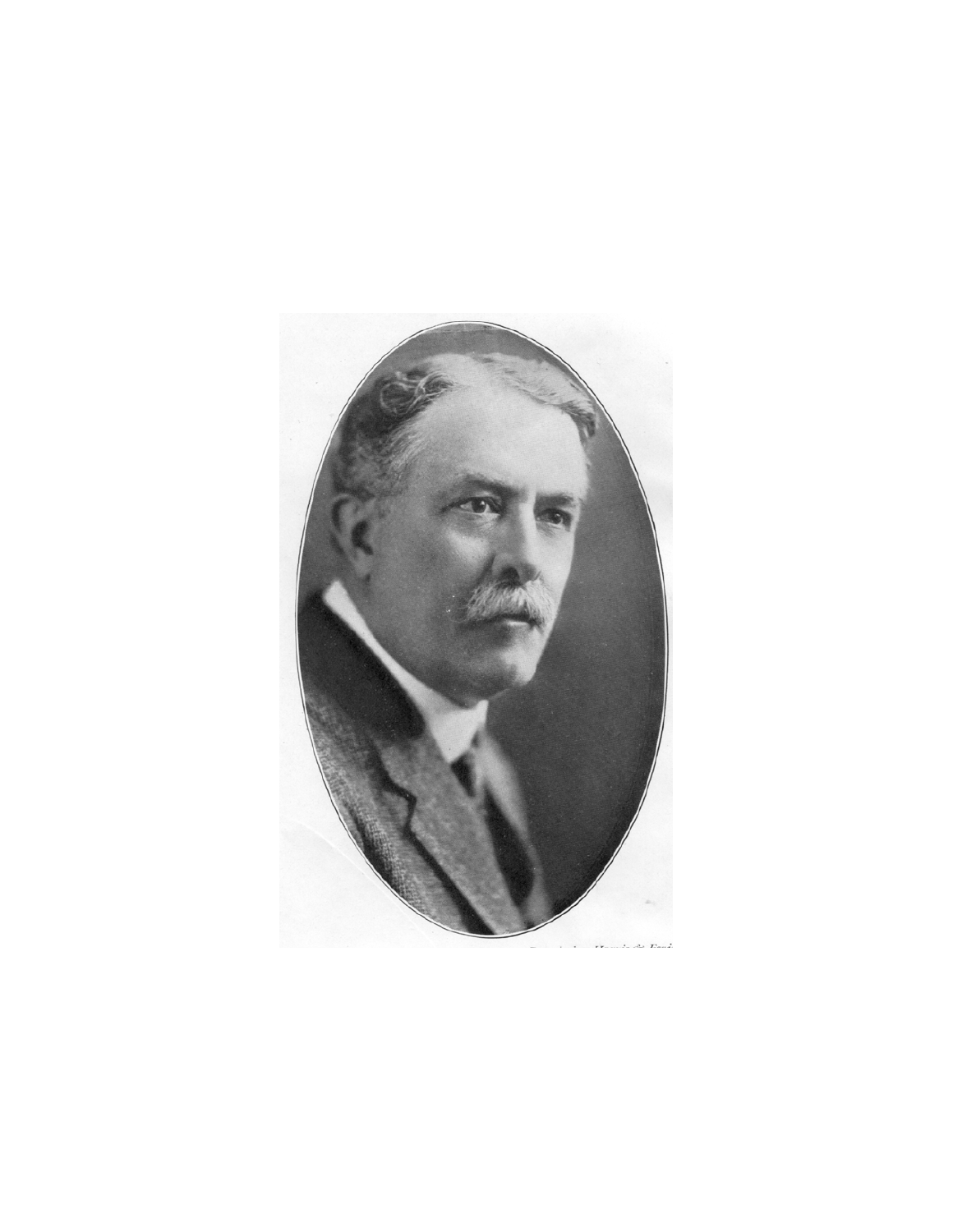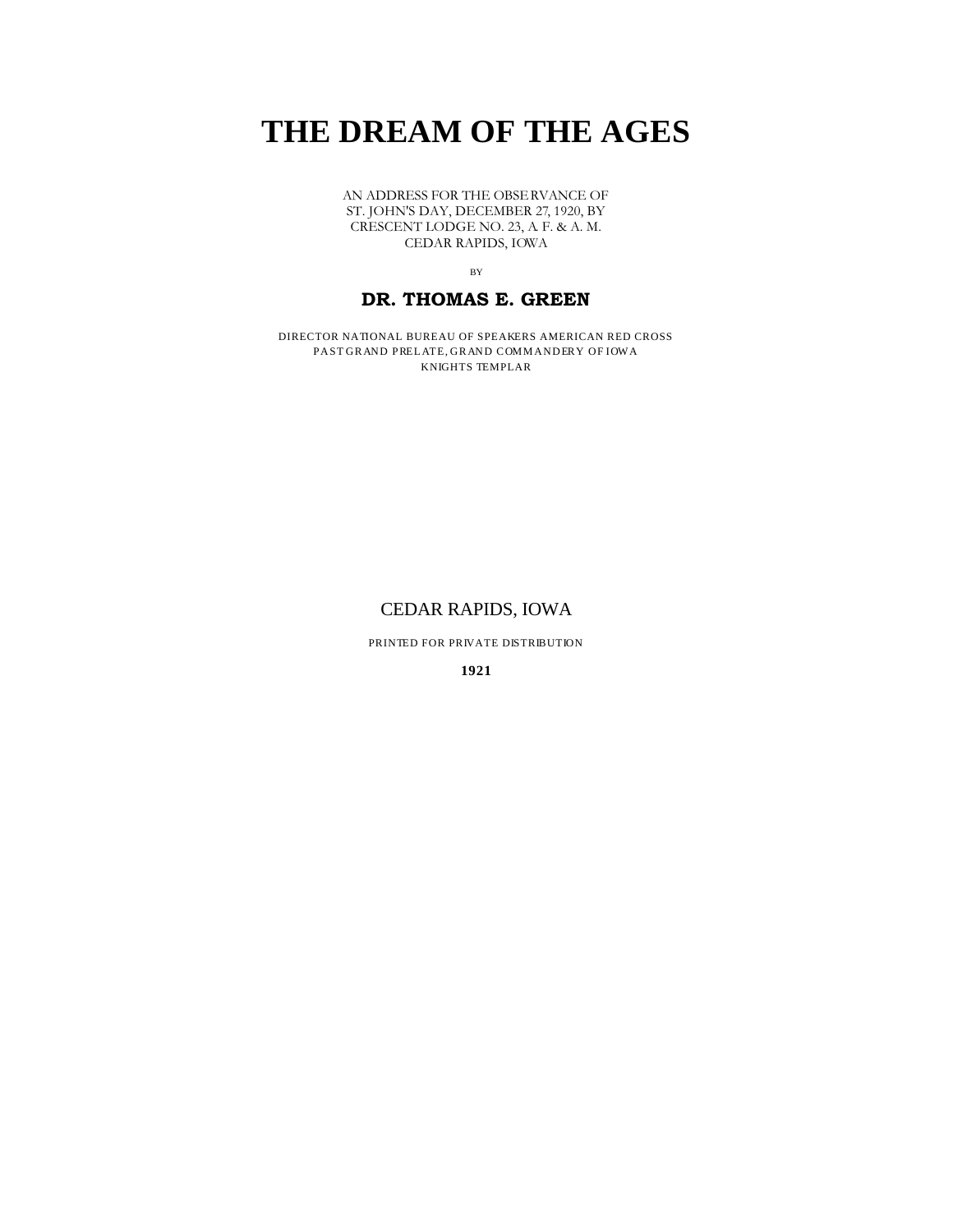## **THE DREAM OF THE AGES**

AN ADDRESS FOR THE OBSERVANCE OF ST. JOHN'S DAY, DECEMBER 27, 1920, BY CRESCENT LODGE NO. 23, A. F. & A. M. CEDAR RAPIDS, IOWA

BY

## **DR. THOMAS E. GREEN**

DIRECTOR NATIONAL BUREAU OF SPEAKERS AMERICAN RED CROSS PAST GRAND PRELATE, GRAND COMMANDERY OF IOWA KNIGHTS TEMPLAR

## CEDAR RAPIDS, IOWA

PRINTED FOR PRIVATE DISTRIBUTION

**1921**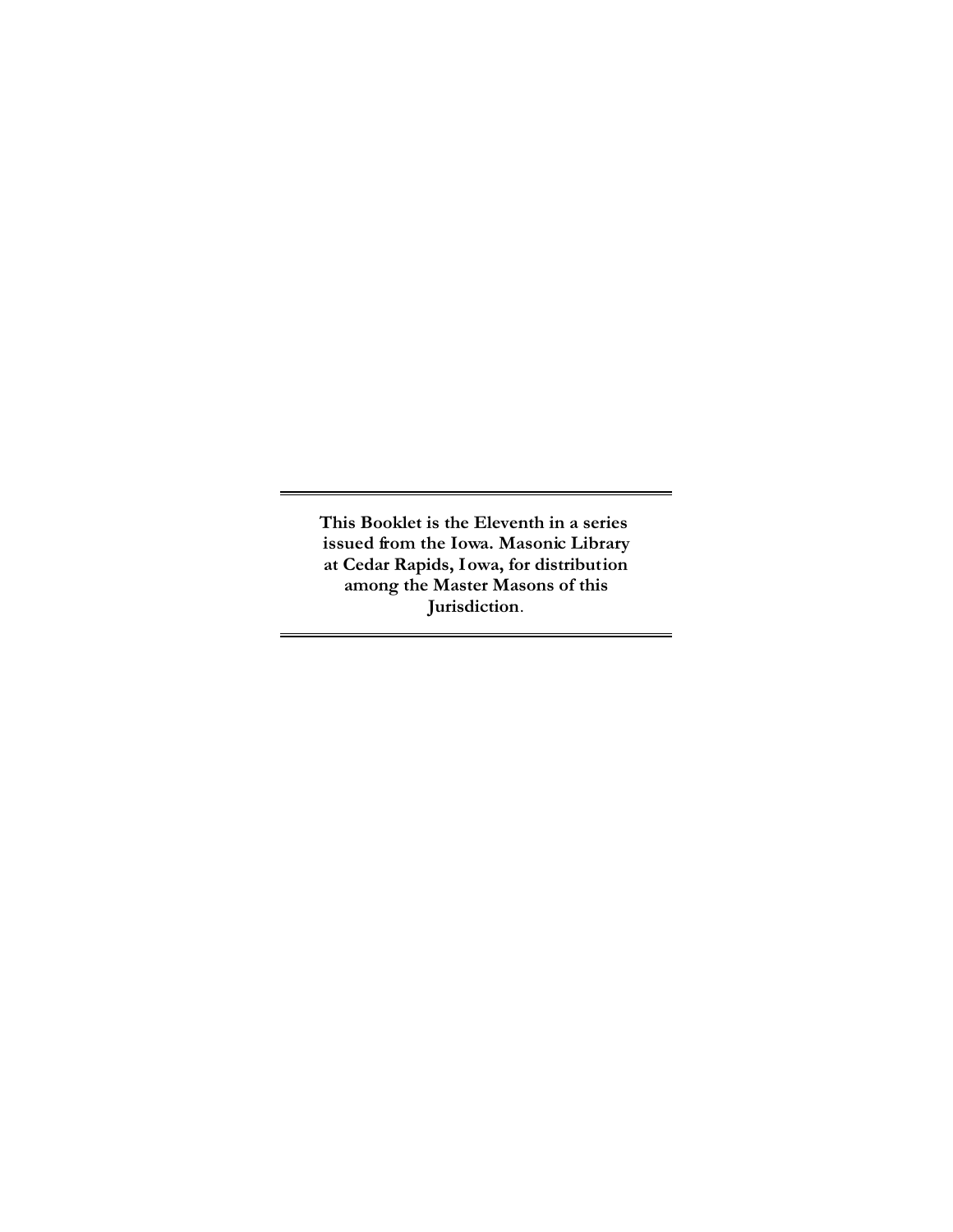**This Booklet is the Eleventh in a series issued from the Iowa. Masonic Library at Cedar Rapids, Iowa, for distribution among the Master Masons of this Jurisdiction.**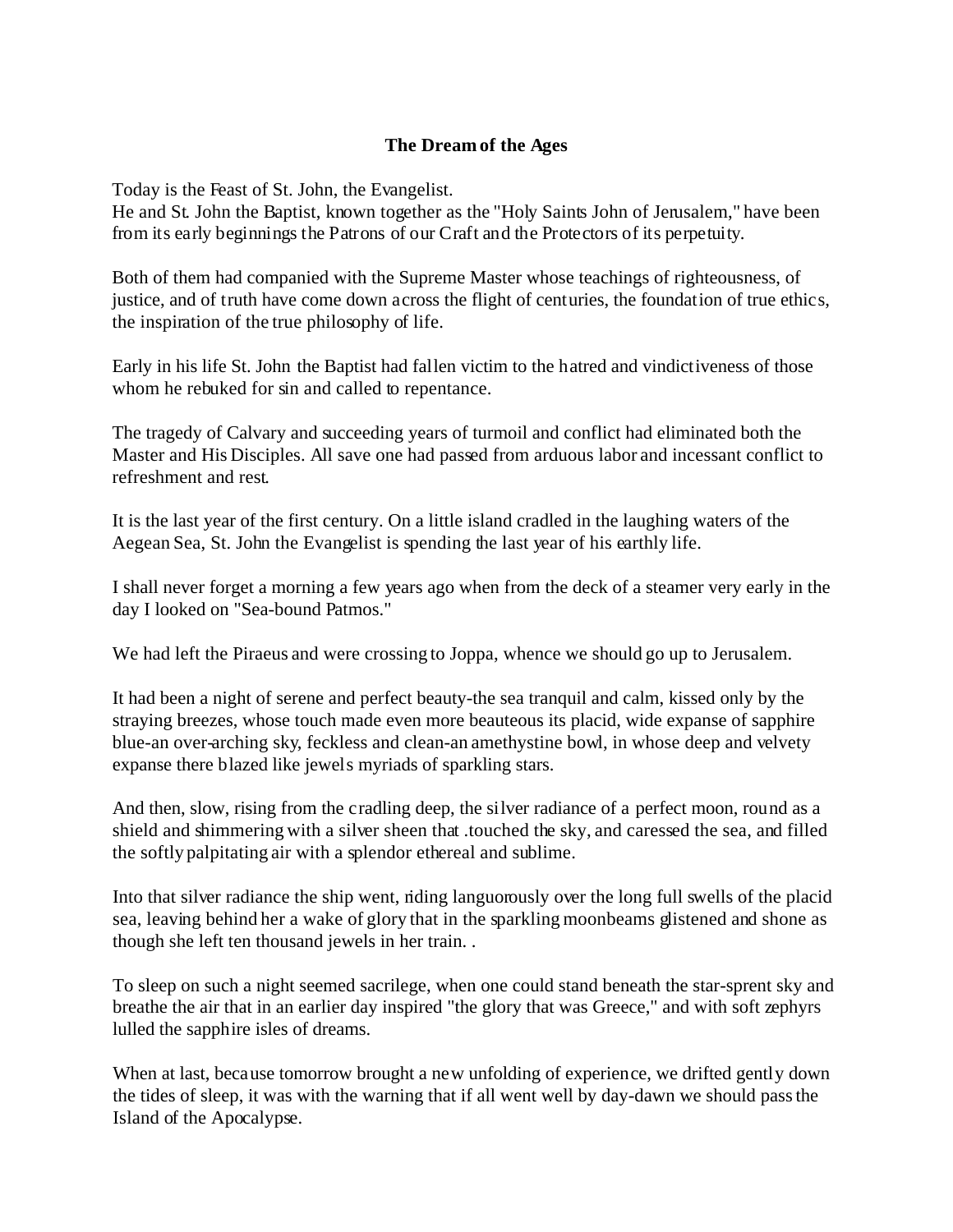## **The Dream of the Ages**

Today is the Feast of St. John, the Evangelist.

He and St. John the Baptist, known together as the "Holy Saints John of Jerusalem," have been from its early beginnings the Patrons of our Craft and the Protectors of its perpetuity.

Both of them had companied with the Supreme Master whose teachings of righteousness, of justice, and of truth have come down across the flight of centuries, the foundation of true ethics, the inspiration of the true philosophy of life.

Early in his life St. John the Baptist had fallen victim to the hatred and vindictiveness of those whom he rebuked for sin and called to repentance.

The tragedy of Calvary and succeeding years of turmoil and conflict had eliminated both the Master and His Disciples. All save one had passed from arduous labor and incessant conflict to refreshment and rest.

It is the last year of the first century. On a little island cradled in the laughing waters of the Aegean Sea, St. John the Evangelist is spending the last year of his earthly life.

I shall never forget a morning a few years ago when from the deck of a steamer very early in the day I looked on "Sea-bound Patmos."

We had left the Piraeus and were crossing to Joppa, whence we should go up to Jerusalem.

It had been a night of serene and perfect beauty-the sea tranquil and calm, kissed only by the straying breezes, whose touch made even more beauteous its placid, wide expanse of sapphire blue-an over-arching sky, feckless and clean-an amethystine bowl, in whose deep and velvety expanse there blazed like jewels myriads of sparkling stars.

And then, slow, rising from the cradling deep, the silver radiance of a perfect moon, round as a shield and shimmering with a silver sheen that .touched the sky, and caressed the sea, and filled the softly palpitating air with a splendor ethereal and sublime.

Into that silver radiance the ship went, riding languorously over the long full swells of the placid sea, leaving behind her a wake of glory that in the sparkling moonbeams glistened and shone as though she left ten thousand jewels in her train. .

To sleep on such a night seemed sacrilege, when one could stand beneath the star-sprent sky and breathe the air that in an earlier day inspired "the glory that was Greece," and with soft zephyrs lulled the sapphire isles of dreams.

When at last, because tomorrow brought a new unfolding of experience, we drifted gently down the tides of sleep, it was with the warning that if all went well by day-dawn we should pass the Island of the Apocalypse.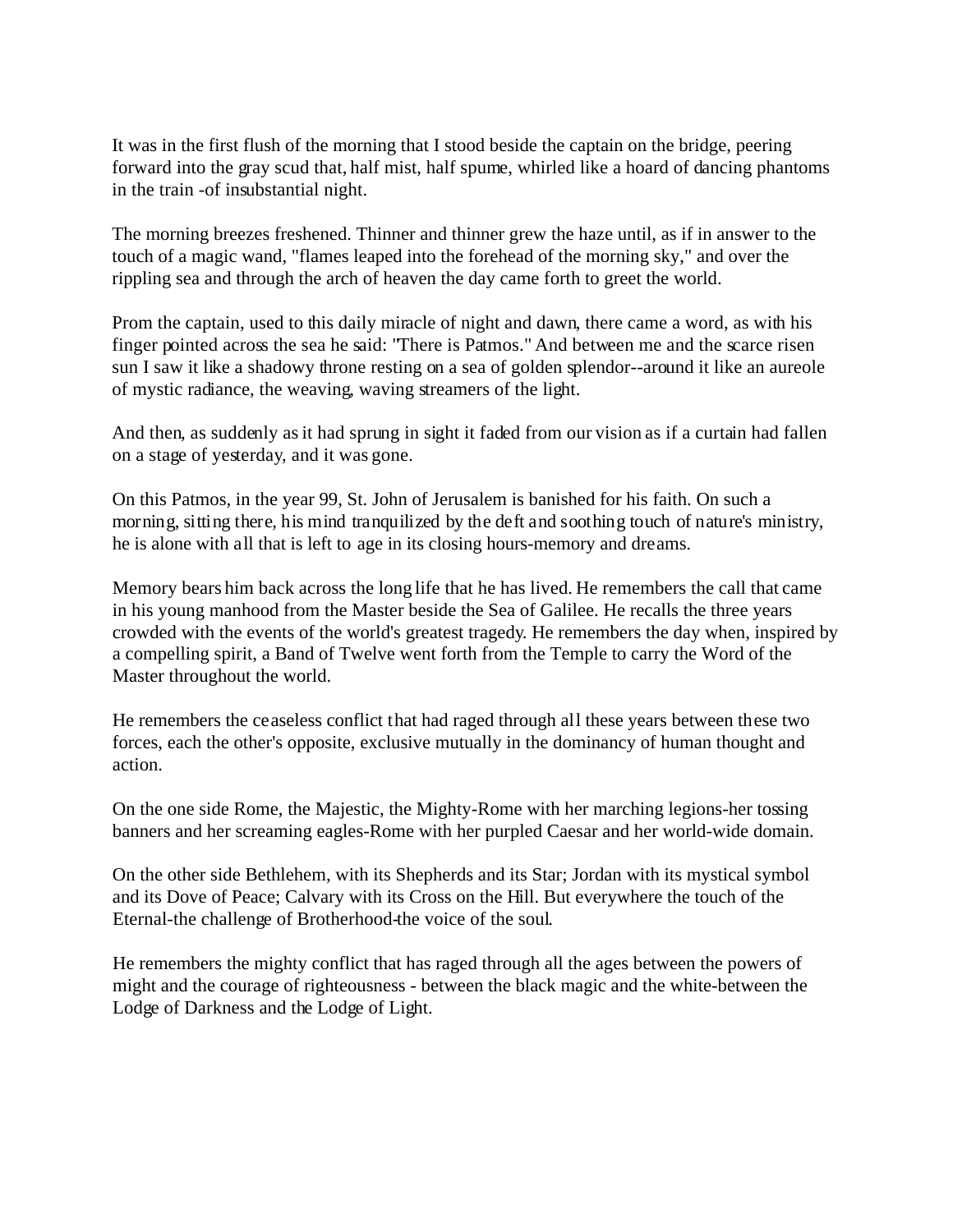It was in the first flush of the morning that I stood beside the captain on the bridge, peering forward into the gray scud that, half mist, half spume, whirled like a hoard of dancing phantoms in the train -of insubstantial night.

The morning breezes freshened. Thinner and thinner grew the haze until, as if in answer to the touch of a magic wand, "flames leaped into the forehead of the morning sky," and over the rippling sea and through the arch of heaven the day came forth to greet the world.

Prom the captain, used to this daily miracle of night and dawn, there came a word, as with his finger pointed across the sea he said: "There is Patmos." And between me and the scarce risen sun I saw it like a shadowy throne resting on a sea of golden splendor--around it like an aureole of mystic radiance, the weaving, waving streamers of the light.

And then, as suddenly as it had sprung in sight it faded from our vision as if a curtain had fallen on a stage of yesterday, and it was gone.

On this Patmos, in the year 99, St. John of Jerusalem is banished for his faith. On such a morning, sitting there, his mind tranquilized by the deft and soothing touch of nature's ministry, he is alone with all that is left to age in its closing hours-memory and dreams.

Memory bears him back across the long life that he has lived. He remembers the call that came in his young manhood from the Master beside the Sea of Galilee. He recalls the three years crowded with the events of the world's greatest tragedy. He remembers the day when, inspired by a compelling spirit, a Band of Twelve went forth from the Temple to carry the Word of the Master throughout the world.

He remembers the ceaseless conflict that had raged through all these years between these two forces, each the other's opposite, exclusive mutually in the dominancy of human thought and action.

On the one side Rome, the Majestic, the Mighty-Rome with her marching legions-her tossing banners and her screaming eagles-Rome with her purpled Caesar and her world-wide domain.

On the other side Bethlehem, with its Shepherds and its Star; Jordan with its mystical symbol and its Dove of Peace; Calvary with its Cross on the Hill. But everywhere the touch of the Eternal-the challenge of Brotherhood-the voice of the soul.

He remembers the mighty conflict that has raged through all the ages between the powers of might and the courage of righteousness - between the black magic and the white-between the Lodge of Darkness and the Lodge of Light.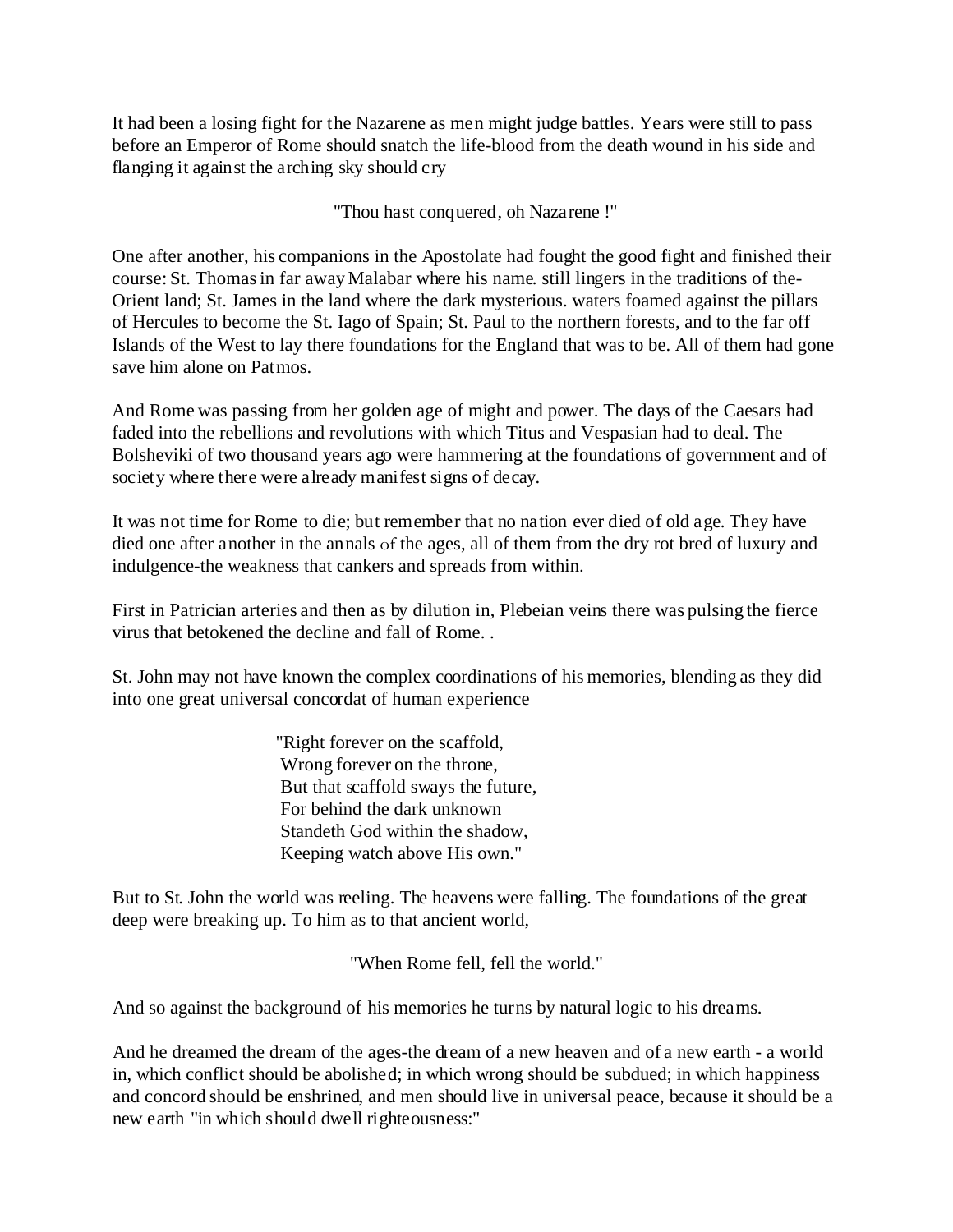It had been a losing fight for the Nazarene as men might judge battles. Years were still to pass before an Emperor of Rome should snatch the life-blood from the death wound in his side and flanging it against the arching sky should cry

"Thou hast conquered, oh Nazarene !"

One after another, his companions in the Apostolate had fought the good fight and finished their course: St. Thomas in far away Malabar where his name. still lingers in the traditions of the-Orient land; St. James in the land where the dark mysterious. waters foamed against the pillars of Hercules to become the St. Iago of Spain; St. Paul to the northern forests, and to the far off Islands of the West to lay there foundations for the England that was to be. All of them had gone save him alone on Patmos.

And Rome was passing from her golden age of might and power. The days of the Caesars had faded into the rebellions and revolutions with which Titus and Vespasian had to deal. The Bolsheviki of two thousand years ago were hammering at the foundations of government and of society where there were already manifest signs of decay.

It was not time for Rome to die; but remember that no nation ever died of old age. They have died one after another in the annals of the ages, all of them from the dry rot bred of luxury and indulgence-the weakness that cankers and spreads from within.

First in Patrician arteries and then as by dilution in, Plebeian veins there was pulsing the fierce virus that betokened the decline and fall of Rome. .

St. John may not have known the complex coordinations of his memories, blending as they did into one great universal concordat of human experience

> "Right forever on the scaffold, Wrong forever on the throne, But that scaffold sways the future, For behind the dark unknown Standeth God within the shadow, Keeping watch above His own."

But to St. John the world was reeling. The heavens were falling. The foundations of the great deep were breaking up. To him as to that ancient world,

"When Rome fell, fell the world."

And so against the background of his memories he turns by natural logic to his dreams.

And he dreamed the dream of the ages-the dream of a new heaven and of a new earth - a world in, which conflict should be abolished; in which wrong should be subdued; in which happiness and concord should be enshrined, and men should live in universal peace, because it should be a new earth "in which should dwell righteousness:"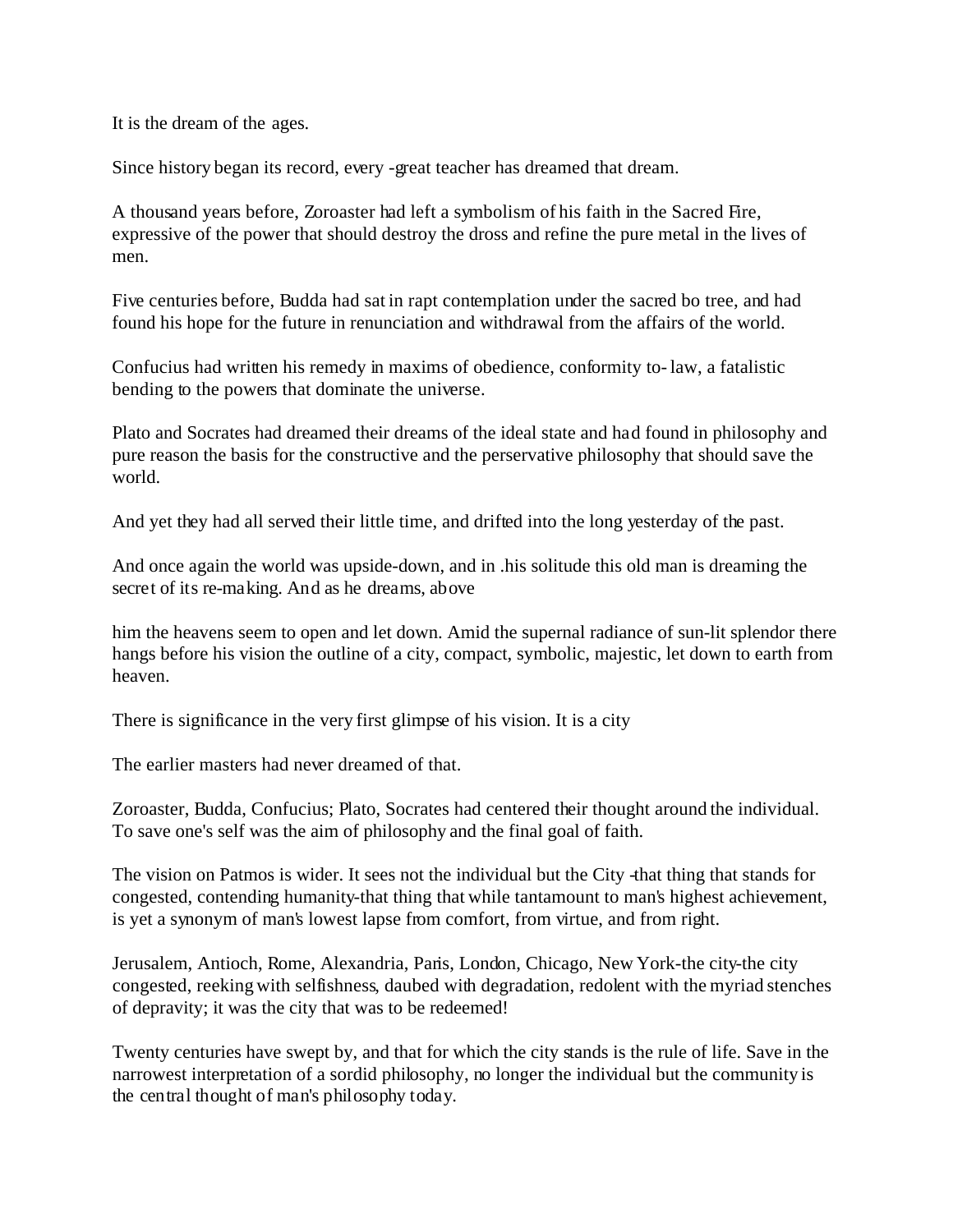It is the dream of the ages.

Since history began its record, every -great teacher has dreamed that dream.

A thousand years before, Zoroaster had left a symbolism of his faith in the Sacred Fire, expressive of the power that should destroy the dross and refine the pure metal in the lives of men.

Five centuries before, Budda had sat in rapt contemplation under the sacred bo tree, and had found his hope for the future in renunciation and withdrawal from the affairs of the world.

Confucius had written his remedy in maxims of obedience, conformity to- law, a fatalistic bending to the powers that dominate the universe.

Plato and Socrates had dreamed their dreams of the ideal state and had found in philosophy and pure reason the basis for the constructive and the perservative philosophy that should save the world.

And yet they had all served their little time, and drifted into the long yesterday of the past.

And once again the world was upside-down, and in .his solitude this old man is dreaming the secret of its re-making. And as he dreams, above

him the heavens seem to open and let down. Amid the supernal radiance of sun-lit splendor there hangs before his vision the outline of a city, compact, symbolic, majestic, let down to earth from heaven.

There is significance in the very first glimpse of his vision. It is a city

The earlier masters had never dreamed of that.

Zoroaster, Budda, Confucius; Plato, Socrates had centered their thought around the individual. To save one's self was the aim of philosophy and the final goal of faith.

The vision on Patmos is wider. It sees not the individual but the City -that thing that stands for congested, contending humanity-that thing that while tantamount to man's highest achievement, is yet a synonym of man's lowest lapse from comfort, from virtue, and from right.

Jerusalem, Antioch, Rome, Alexandria, Paris, London, Chicago, New York-the city-the city congested, reeking with selfishness, daubed with degradation, redolent with the myriad stenches of depravity; it was the city that was to be redeemed!

Twenty centuries have swept by, and that for which the city stands is the rule of life. Save in the narrowest interpretation of a sordid philosophy, no longer the individual but the community is the central thought of man's philosophy today.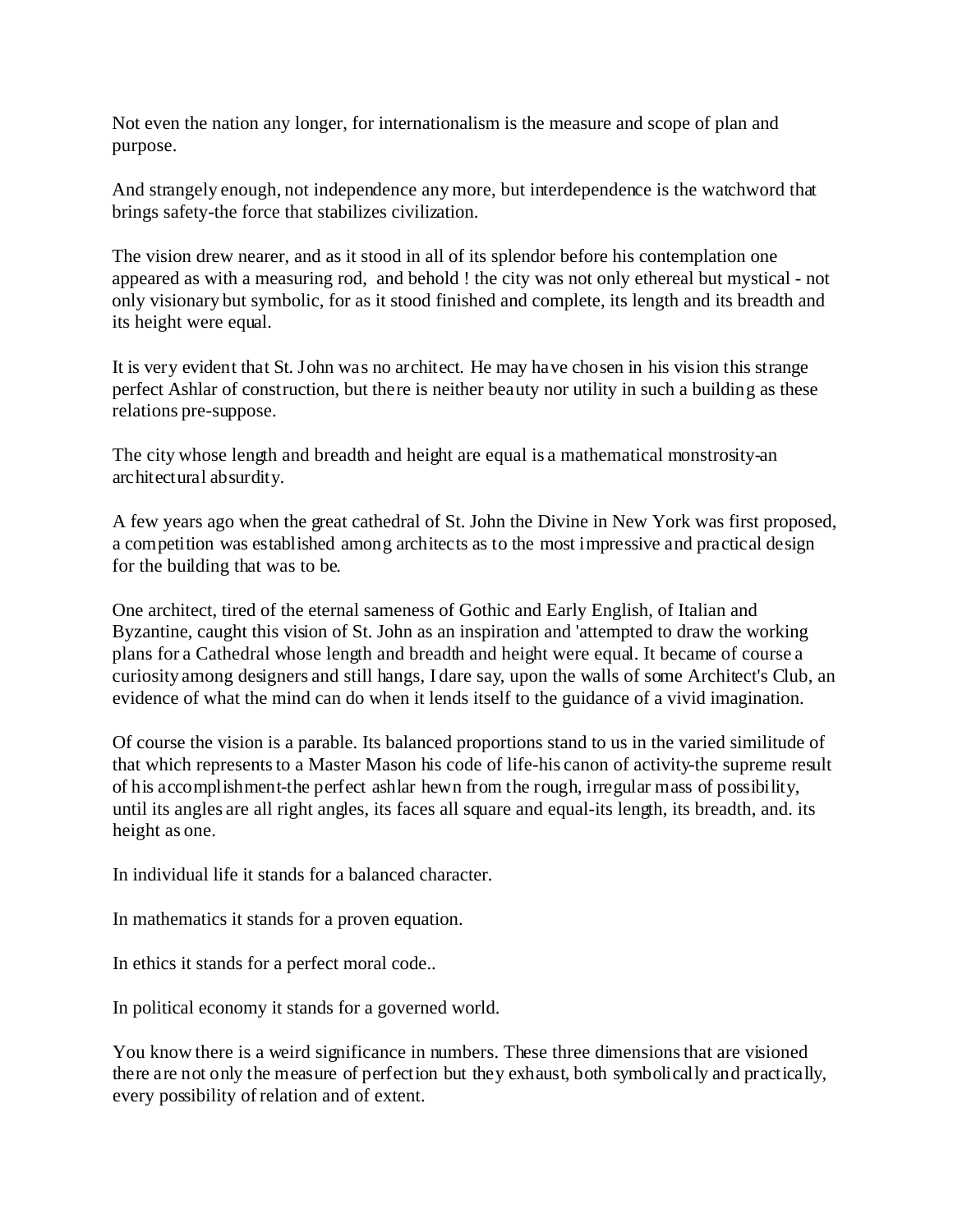Not even the nation any longer, for internationalism is the measure and scope of plan and purpose.

And strangely enough, not independence any more, but interdependence is the watchword that brings safety-the force that stabilizes civilization.

The vision drew nearer, and as it stood in all of its splendor before his contemplation one appeared as with a measuring rod, and behold ! the city was not only ethereal but mystical - not only visionary but symbolic, for as it stood finished and complete, its length and its breadth and its height were equal.

It is very evident that St. John was no architect. He may have chosen in his vision this strange perfect Ashlar of construction, but there is neither beauty nor utility in such a building as these relations pre-suppose.

The city whose length and breadth and height are equal is a mathematical monstrosity-an architectural absurdity.

A few years ago when the great cathedral of St. John the Divine in New York was first proposed, a competition was established among architects as to the most impressive and practical design for the building that was to be.

One architect, tired of the eternal sameness of Gothic and Early English, of Italian and Byzantine, caught this vision of St. John as an inspiration and 'attempted to draw the working plans for a Cathedral whose length and breadth and height were equal. It became of course a curiosity among designers and still hangs, I dare say, upon the walls of some Architect's Club, an evidence of what the mind can do when it lends itself to the guidance of a vivid imagination.

Of course the vision is a parable. Its balanced proportions stand to us in the varied similitude of that which represents to a Master Mason his code of life-his canon of activity-the supreme result of his accomplishment-the perfect ashlar hewn from the rough, irregular mass of possibility, until its angles are all right angles, its faces all square and equal-its length, its breadth, and. its height as one.

In individual life it stands for a balanced character.

In mathematics it stands for a proven equation.

In ethics it stands for a perfect moral code..

In political economy it stands for a governed world.

You know there is a weird significance in numbers. These three dimensions that are visioned there are not only the measure of perfection but they exhaust, both symbolically and practically, every possibility of relation and of extent.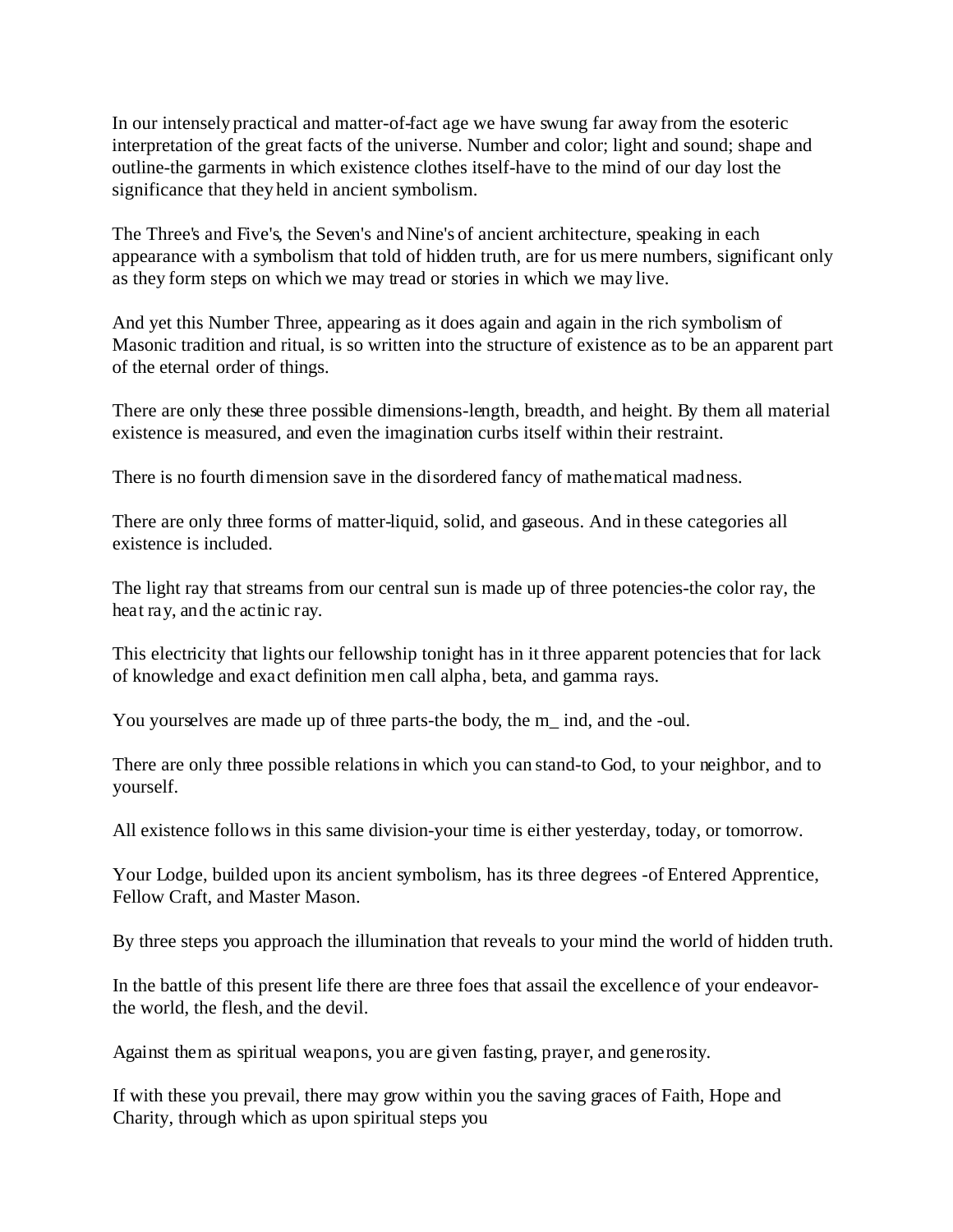In our intensely practical and matter-of-fact age we have swung far away from the esoteric interpretation of the great facts of the universe. Number and color; light and sound; shape and outline-the garments in which existence clothes itself-have to the mind of our day lost the significance that they held in ancient symbolism.

The Three's and Five's, the Seven's and Nine's of ancient architecture, speaking in each appearance with a symbolism that told of hidden truth, are for us mere numbers, significant only as they form steps on which we may tread or stories in which we may live.

And yet this Number Three, appearing as it does again and again in the rich symbolism of Masonic tradition and ritual, is so written into the structure of existence as to be an apparent part of the eternal order of things.

There are only these three possible dimensions-length, breadth, and height. By them all material existence is measured, and even the imagination curbs itself within their restraint.

There is no fourth dimension save in the disordered fancy of mathematical madness.

There are only three forms of matter-liquid, solid, and gaseous. And in these categories all existence is included.

The light ray that streams from our central sun is made up of three potencies-the color ray, the heat ray, and the actinic ray.

This electricity that lights our fellowship tonight has in it three apparent potencies that for lack of knowledge and exact definition men call alpha, beta, and gamma rays.

You yourselves are made up of three parts-the body, the m\_ ind, and the -oul.

There are only three possible relations in which you can stand-to God, to your neighbor, and to yourself.

All existence follows in this same division-your time is either yesterday, today, or tomorrow.

Your Lodge, builded upon its ancient symbolism, has its three degrees -of Entered Apprentice, Fellow Craft, and Master Mason.

By three steps you approach the illumination that reveals to your mind the world of hidden truth.

In the battle of this present life there are three foes that assail the excellence of your endeavorthe world, the flesh, and the devil.

Against them as spiritual weapons, you are given fasting, prayer, and generosity.

If with these you prevail, there may grow within you the saving graces of Faith, Hope and Charity, through which as upon spiritual steps you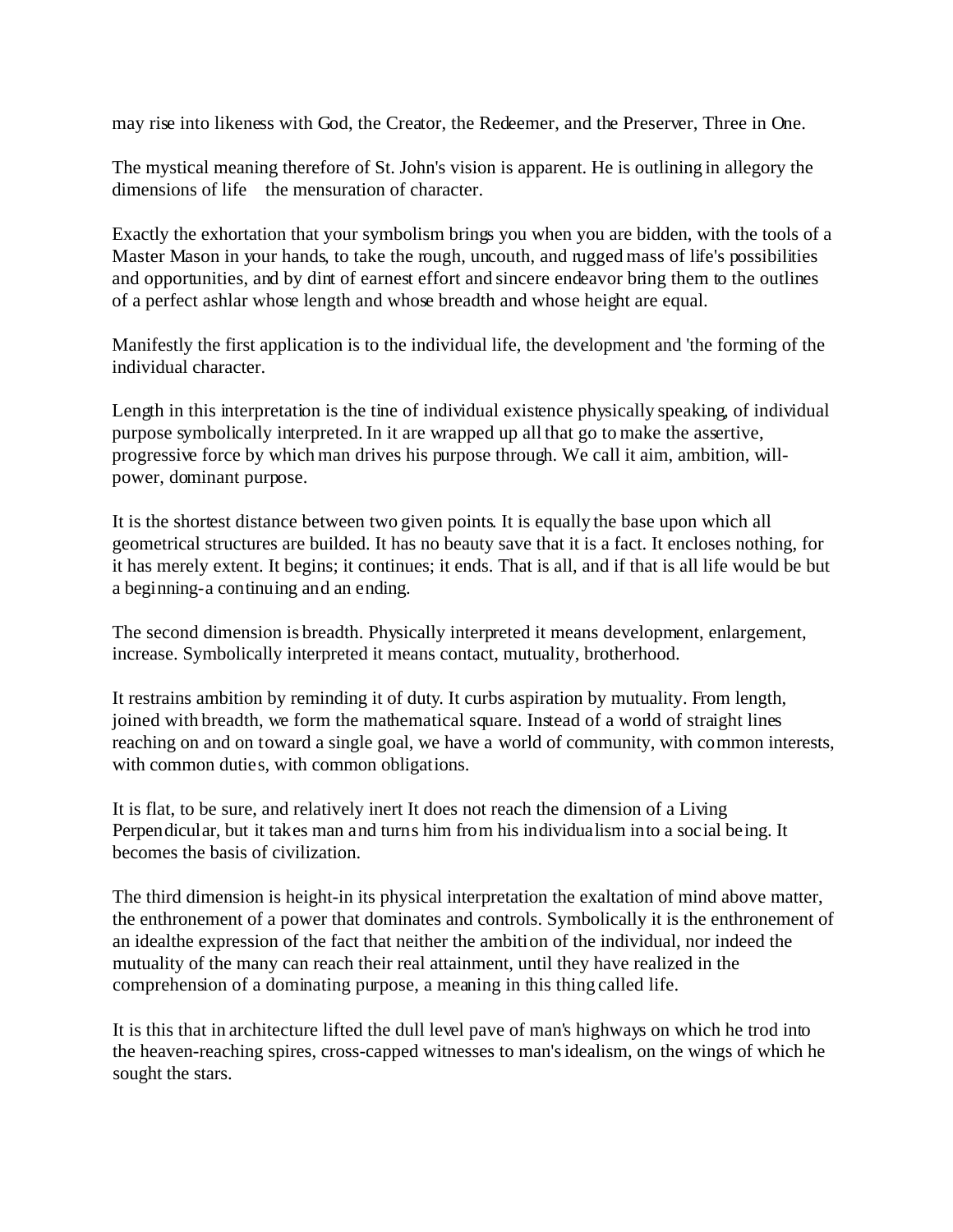may rise into likeness with God, the Creator, the Redeemer, and the Preserver, Three in One.

The mystical meaning therefore of St. John's vision is apparent. He is outlining in allegory the dimensions of life the mensuration of character.

Exactly the exhortation that your symbolism brings you when you are bidden, with the tools of a Master Mason in your hands, to take the rough, uncouth, and rugged mass of life's possibilities and opportunities, and by dint of earnest effort and sincere endeavor bring them to the outlines of a perfect ashlar whose length and whose breadth and whose height are equal.

Manifestly the first application is to the individual life, the development and 'the forming of the individual character.

Length in this interpretation is the tine of individual existence physically speaking, of individual purpose symbolically interpreted. In it are wrapped up all that go to make the assertive, progressive force by which man drives his purpose through. We call it aim, ambition, willpower, dominant purpose.

It is the shortest distance between two given points. It is equally the base upon which all geometrical structures are builded. It has no beauty save that it is a fact. It encloses nothing, for it has merely extent. It begins; it continues; it ends. That is all, and if that is all life would be but a beginning-a continuing and an ending.

The second dimension is breadth. Physically interpreted it means development, enlargement, increase. Symbolically interpreted it means contact, mutuality, brotherhood.

It restrains ambition by reminding it of duty. It curbs aspiration by mutuality. From length, joined with breadth, we form the mathematical square. Instead of a world of straight lines reaching on and on toward a single goal, we have a world of community, with common interests, with common duties, with common obligations.

It is flat, to be sure, and relatively inert It does not reach the dimension of a Living Perpendicular, but it takes man and turns him from his individualism into a social being. It becomes the basis of civilization.

The third dimension is height-in its physical interpretation the exaltation of mind above matter, the enthronement of a power that dominates and controls. Symbolically it is the enthronement of an idealthe expression of the fact that neither the ambition of the individual, nor indeed the mutuality of the many can reach their real attainment, until they have realized in the comprehension of a dominating purpose, a meaning in this thing called life.

It is this that in architecture lifted the dull level pave of man's highways on which he trod into the heaven-reaching spires, cross-capped witnesses to man's idealism, on the wings of which he sought the stars.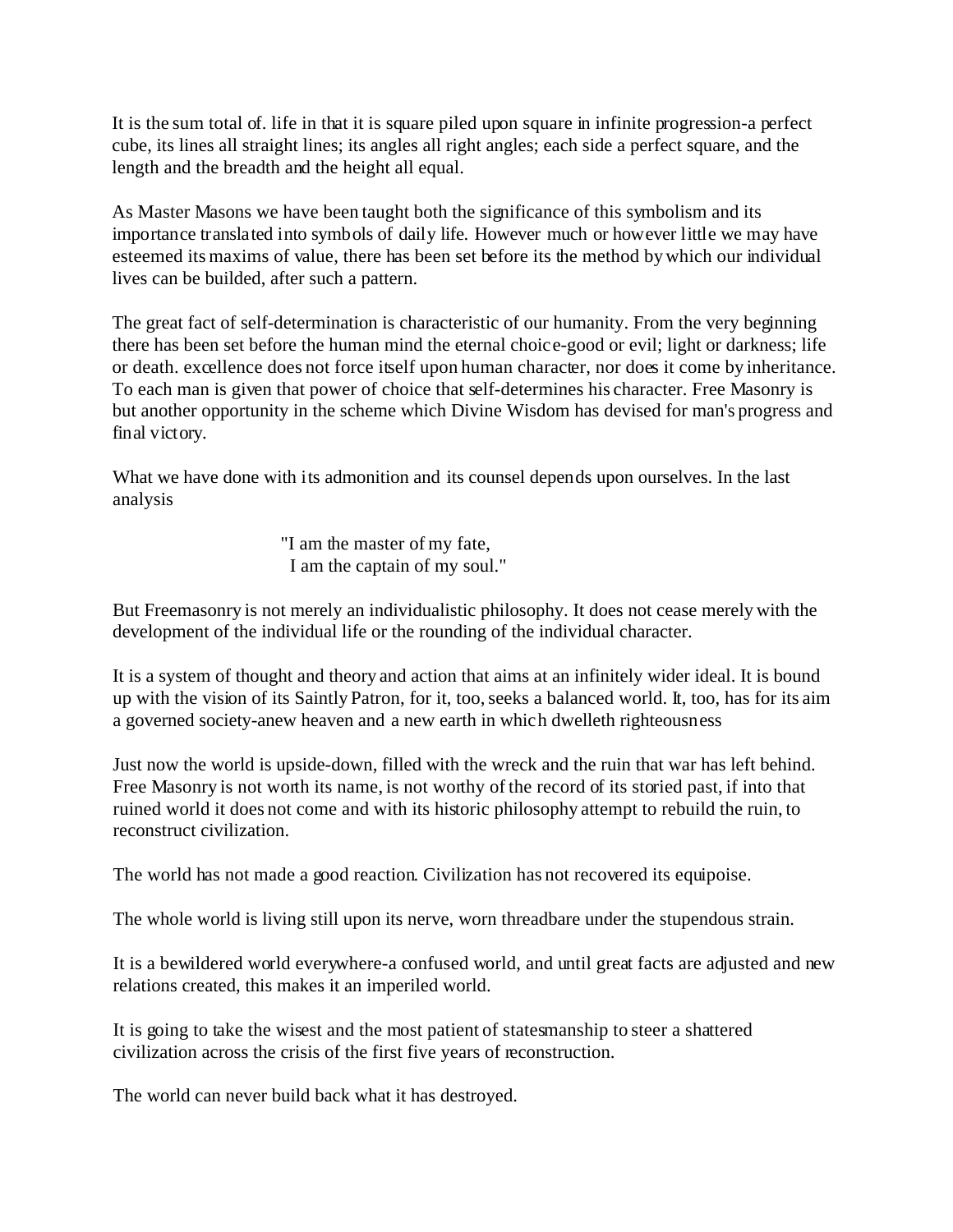It is the sum total of. life in that it is square piled upon square in infinite progression-a perfect cube, its lines all straight lines; its angles all right angles; each side a perfect square, and the length and the breadth and the height all equal.

As Master Masons we have been taught both the significance of this symbolism and its importance translated into symbols of daily life. However much or however little we may have esteemed its maxims of value, there has been set before its the method by which our individual lives can be builded, after such a pattern.

The great fact of self-determination is characteristic of our humanity. From the very beginning there has been set before the human mind the eternal choice-good or evil; light or darkness; life or death. excellence does not force itself upon human character, nor does it come by inheritance. To each man is given that power of choice that self-determines his character. Free Masonry is but another opportunity in the scheme which Divine Wisdom has devised for man's progress and final victory.

What we have done with its admonition and its counsel depends upon ourselves. In the last analysis

> "I am the master of my fate, I am the captain of my soul."

But Freemasonry is not merely an individualistic philosophy. It does not cease merely with the development of the individual life or the rounding of the individual character.

It is a system of thought and theory and action that aims at an infinitely wider ideal. It is bound up with the vision of its Saintly Patron, for it, too, seeks a balanced world. It, too, has for its aim a governed society-anew heaven and a new earth in which dwelleth righteousness

Just now the world is upside-down, filled with the wreck and the ruin that war has left behind. Free Masonry is not worth its name, is not worthy of the record of its storied past, if into that ruined world it does not come and with its historic philosophy attempt to rebuild the ruin, to reconstruct civilization.

The world has not made a good reaction. Civilization has not recovered its equipoise.

The whole world is living still upon its nerve, worn threadbare under the stupendous strain.

It is a bewildered world everywhere-a confused world, and until great facts are adjusted and new relations created, this makes it an imperiled world.

It is going to take the wisest and the most patient of statesmanship to steer a shattered civilization across the crisis of the first five years of reconstruction.

The world can never build back what it has destroyed.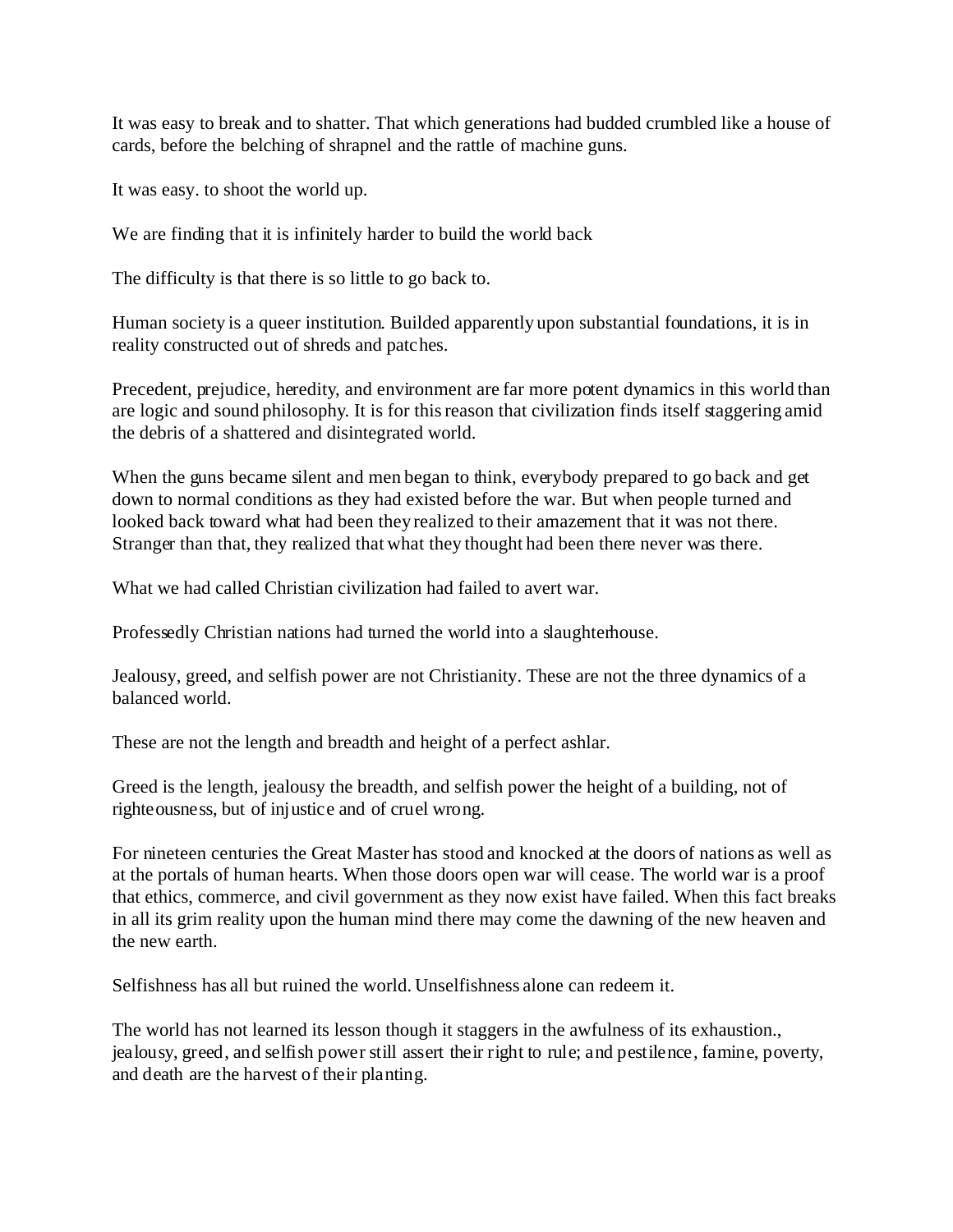It was easy to break and to shatter. That which generations had budded crumbled like a house of cards, before the belching of shrapnel and the rattle of machine guns.

It was easy. to shoot the world up.

We are finding that it is infinitely harder to build the world back

The difficulty is that there is so little to go back to.

Human society is a queer institution. Builded apparently upon substantial foundations, it is in reality constructed out of shreds and patches.

Precedent, prejudice, heredity, and environment are far more potent dynamics in this world than are logic and sound philosophy. It is for this reason that civilization finds itself staggering amid the debris of a shattered and disintegrated world.

When the guns became silent and men began to think, everybody prepared to go back and get down to normal conditions as they had existed before the war. But when people turned and looked back toward what had been they realized to their amazement that it was not there. Stranger than that, they realized that what they thought had been there never was there.

What we had called Christian civilization had failed to avert war.

Professedly Christian nations had turned the world into a slaughterhouse.

Jealousy, greed, and selfish power are not Christianity. These are not the three dynamics of a balanced world.

These are not the length and breadth and height of a perfect ashlar.

Greed is the length, jealousy the breadth, and selfish power the height of a building, not of righteousness, but of injustice and of cruel wrong.

For nineteen centuries the Great Master has stood and knocked at the doors of nations as well as at the portals of human hearts. When those doors open war will cease. The world war is a proof that ethics, commerce, and civil government as they now exist have failed. When this fact breaks in all its grim reality upon the human mind there may come the dawning of the new heaven and the new earth.

Selfishness has all but ruined the world. Unselfishness alone can redeem it.

The world has not learned its lesson though it staggers in the awfulness of its exhaustion., jealousy, greed, and selfish power still assert their right to rule; and pestilence, famine, poverty, and death are the harvest of their planting.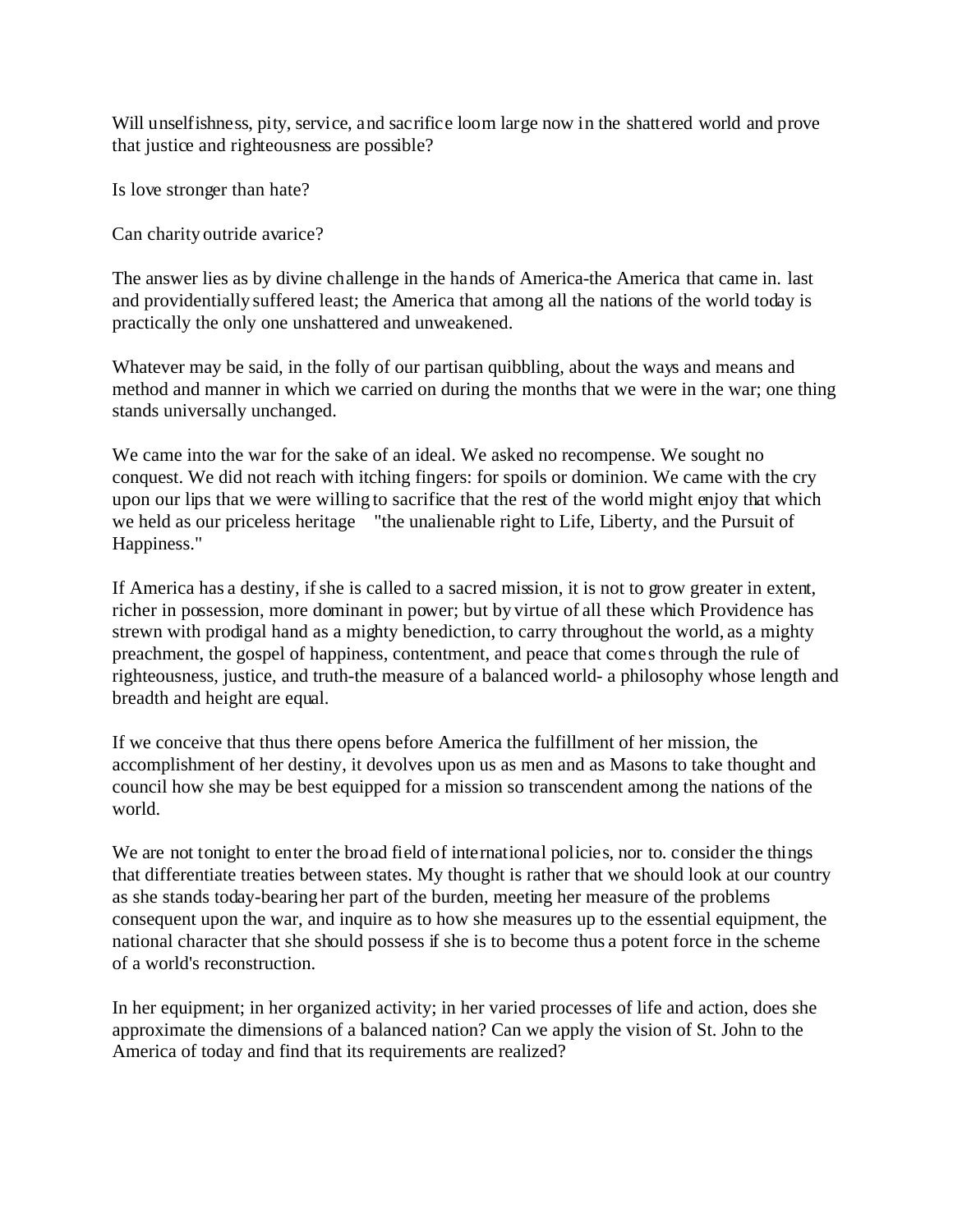Will unselfishness, pity, service, and sacrifice loom large now in the shattered world and prove that justice and righteousness are possible?

Is love stronger than hate?

Can charity outride avarice?

The answer lies as by divine challenge in the hands of America-the America that came in. last and providentially suffered least; the America that among all the nations of the world today is practically the only one unshattered and unweakened.

Whatever may be said, in the folly of our partisan quibbling, about the ways and means and method and manner in which we carried on during the months that we were in the war; one thing stands universally unchanged.

We came into the war for the sake of an ideal. We asked no recompense. We sought no conquest. We did not reach with itching fingers: for spoils or dominion. We came with the cry upon our lips that we were willing to sacrifice that the rest of the world might enjoy that which we held as our priceless heritage "the unalienable right to Life, Liberty, and the Pursuit of Happiness."

If America has a destiny, if she is called to a sacred mission, it is not to grow greater in extent, richer in possession, more dominant in power; but by virtue of all these which Providence has strewn with prodigal hand as a mighty benediction, to carry throughout the world, as a mighty preachment, the gospel of happiness, contentment, and peace that comes through the rule of righteousness, justice, and truth-the measure of a balanced world- a philosophy whose length and breadth and height are equal.

If we conceive that thus there opens before America the fulfillment of her mission, the accomplishment of her destiny, it devolves upon us as men and as Masons to take thought and council how she may be best equipped for a mission so transcendent among the nations of the world.

We are not tonight to enter the broad field of international policies, nor to. consider the things that differentiate treaties between states. My thought is rather that we should look at our country as she stands today-bearing her part of the burden, meeting her measure of the problems consequent upon the war, and inquire as to how she measures up to the essential equipment, the national character that she should possess if she is to become thus a potent force in the scheme of a world's reconstruction.

In her equipment; in her organized activity; in her varied processes of life and action, does she approximate the dimensions of a balanced nation? Can we apply the vision of St. John to the America of today and find that its requirements are realized?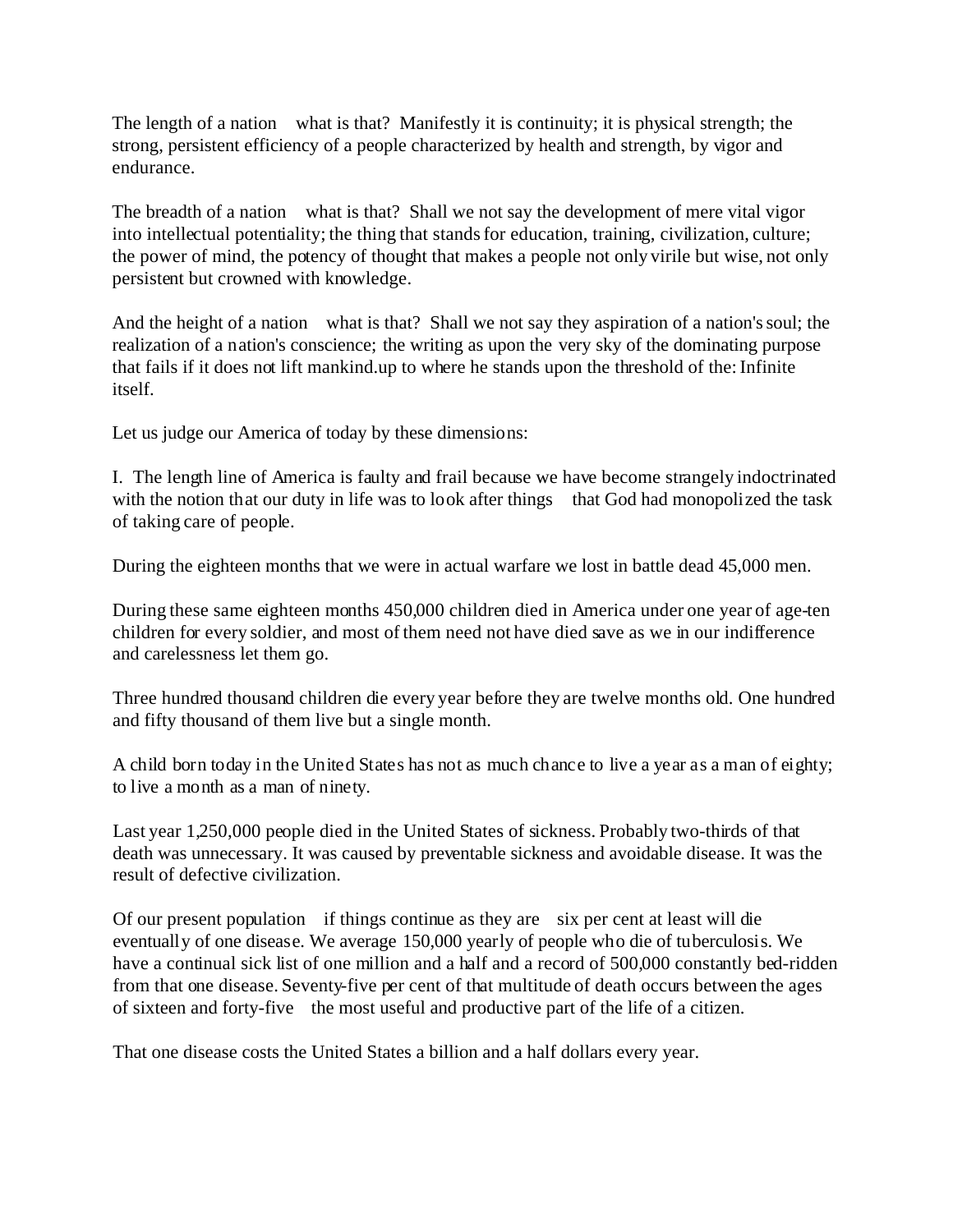The length of a nation what is that? Manifestly it is continuity; it is physical strength; the strong, persistent efficiency of a people characterized by health and strength, by vigor and endurance.

The breadth of a nation what is that? Shall we not say the development of mere vital vigor into intellectual potentiality; the thing that stands for education, training, civilization, culture; the power of mind, the potency of thought that makes a people not only virile but wise, not only persistent but crowned with knowledge.

And the height of a nation what is that? Shall we not say they aspiration of a nation's soul; the realization of a nation's conscience; the writing as upon the very sky of the dominating purpose that fails if it does not lift mankind.up to where he stands upon the threshold of the: Infinite itself.

Let us judge our America of today by these dimensions:

I. The length line of America is faulty and frail because we have become strangely indoctrinated with the notion that our duty in life was to look after things that God had monopolized the task of taking care of people.

During the eighteen months that we were in actual warfare we lost in battle dead 45,000 men.

During these same eighteen months 450,000 children died in America under one year of age-ten children for every soldier, and most of them need not have died save as we in our indifference and carelessness let them go.

Three hundred thousand children die every year before they are twelve months old. One hundred and fifty thousand of them live but a single month.

A child born today in the United States has not as much chance to live a year as a man of eighty; to live a month as a man of ninety.

Last year 1,250,000 people died in the United States of sickness. Probably two-thirds of that death was unnecessary. It was caused by preventable sickness and avoidable disease. It was the result of defective civilization.

Of our present population if things continue as they are six per cent at least will die eventually of one disease. We average 150,000 yearly of people who die of tuberculosis. We have a continual sick list of one million and a half and a record of 500,000 constantly bed-ridden from that one disease. Seventy-five per cent of that multitude of death occurs between the ages of sixteen and forty-five the most useful and productive part of the life of a citizen.

That one disease costs the United States a billion and a half dollars every year.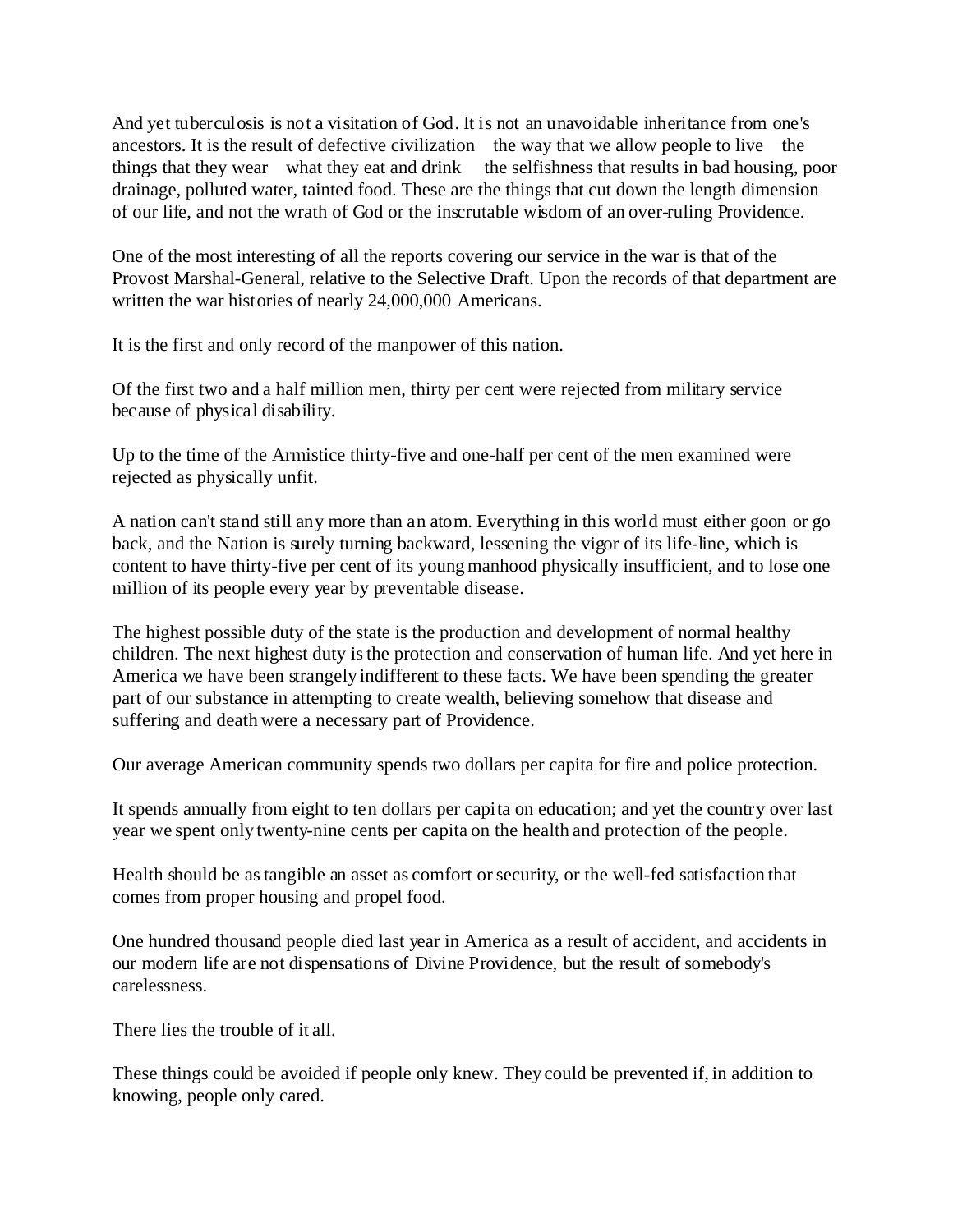And yet tuberculosis is not a visitation of God. It is not an unavoidable inheritance from one's ancestors. It is the result of defective civilization the way that we allow people to live the things that they wear what they eat and drink the selfishness that results in bad housing, poor drainage, polluted water, tainted food. These are the things that cut down the length dimension of our life, and not the wrath of God or the inscrutable wisdom of an over-ruling Providence.

One of the most interesting of all the reports covering our service in the war is that of the Provost Marshal-General, relative to the Selective Draft. Upon the records of that department are written the war histories of nearly 24,000,000 Americans.

It is the first and only record of the manpower of this nation.

Of the first two and a half million men, thirty per cent were rejected from military service because of physical disability.

Up to the time of the Armistice thirty-five and one-half per cent of the men examined were rejected as physically unfit.

A nation can't stand still any more than an atom. Everything in this world must either goon or go back, and the Nation is surely turning backward, lessening the vigor of its life-line, which is content to have thirty-five per cent of its young manhood physically insufficient, and to lose one million of its people every year by preventable disease.

The highest possible duty of the state is the production and development of normal healthy children. The next highest duty is the protection and conservation of human life. And yet here in America we have been strangely indifferent to these facts. We have been spending the greater part of our substance in attempting to create wealth, believing somehow that disease and suffering and death were a necessary part of Providence.

Our average American community spends two dollars per capita for fire and police protection.

It spends annually from eight to ten dollars per capita on education; and yet the country over last year we spent only twenty-nine cents per capita on the health and protection of the people.

Health should be as tangible an asset as comfort or security, or the well-fed satisfaction that comes from proper housing and propel food.

One hundred thousand people died last year in America as a result of accident, and accidents in our modern life are not dispensations of Divine Providence, but the result of somebody's carelessness.

There lies the trouble of it all.

These things could be avoided if people only knew. They could be prevented if, in addition to knowing, people only cared.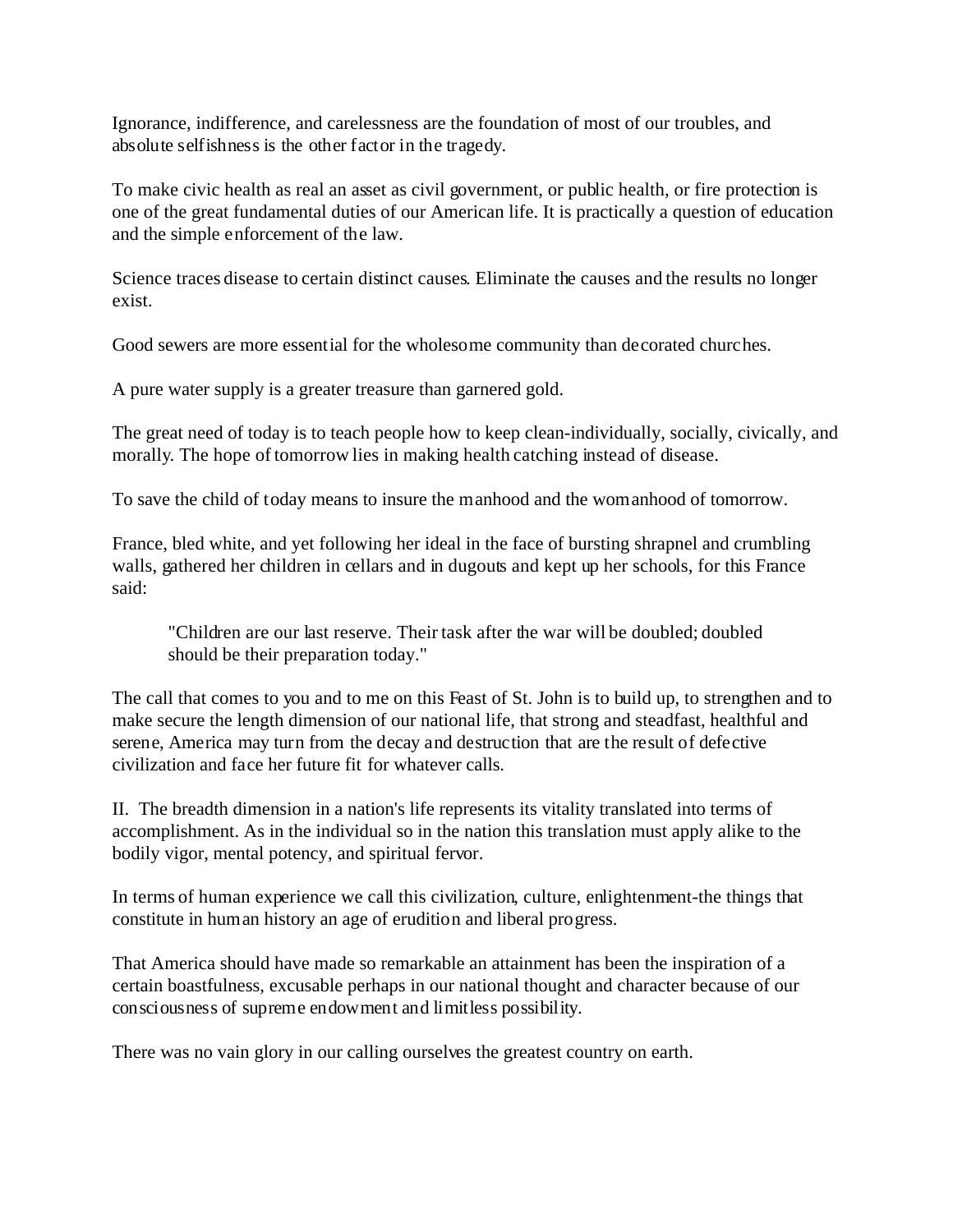Ignorance, indifference, and carelessness are the foundation of most of our troubles, and absolute selfishness is the other factor in the tragedy.

To make civic health as real an asset as civil government, or public health, or fire protection is one of the great fundamental duties of our American life. It is practically a question of education and the simple enforcement of the law.

Science traces disease to certain distinct causes. Eliminate the causes and the results no longer exist.

Good sewers are more essential for the wholesome community than decorated churches.

A pure water supply is a greater treasure than garnered gold.

The great need of today is to teach people how to keep clean-individually, socially, civically, and morally. The hope of tomorrow lies in making health catching instead of disease.

To save the child of today means to insure the manhood and the womanhood of tomorrow.

France, bled white, and yet following her ideal in the face of bursting shrapnel and crumbling walls, gathered her children in cellars and in dugouts and kept up her schools, for this France said:

"Children are our last reserve. Their task after the war will be doubled; doubled should be their preparation today."

The call that comes to you and to me on this Feast of St. John is to build up, to strengthen and to make secure the length dimension of our national life, that strong and steadfast, healthful and serene, America may turn from the decay and destruction that are the result of defective civilization and face her future fit for whatever calls.

II. The breadth dimension in a nation's life represents its vitality translated into terms of accomplishment. As in the individual so in the nation this translation must apply alike to the bodily vigor, mental potency, and spiritual fervor.

In terms of human experience we call this civilization, culture, enlightenment-the things that constitute in human history an age of erudition and liberal progress.

That America should have made so remarkable an attainment has been the inspiration of a certain boastfulness, excusable perhaps in our national thought and character because of our consciousness of supreme endowment and limitless possibility.

There was no vain glory in our calling ourselves the greatest country on earth.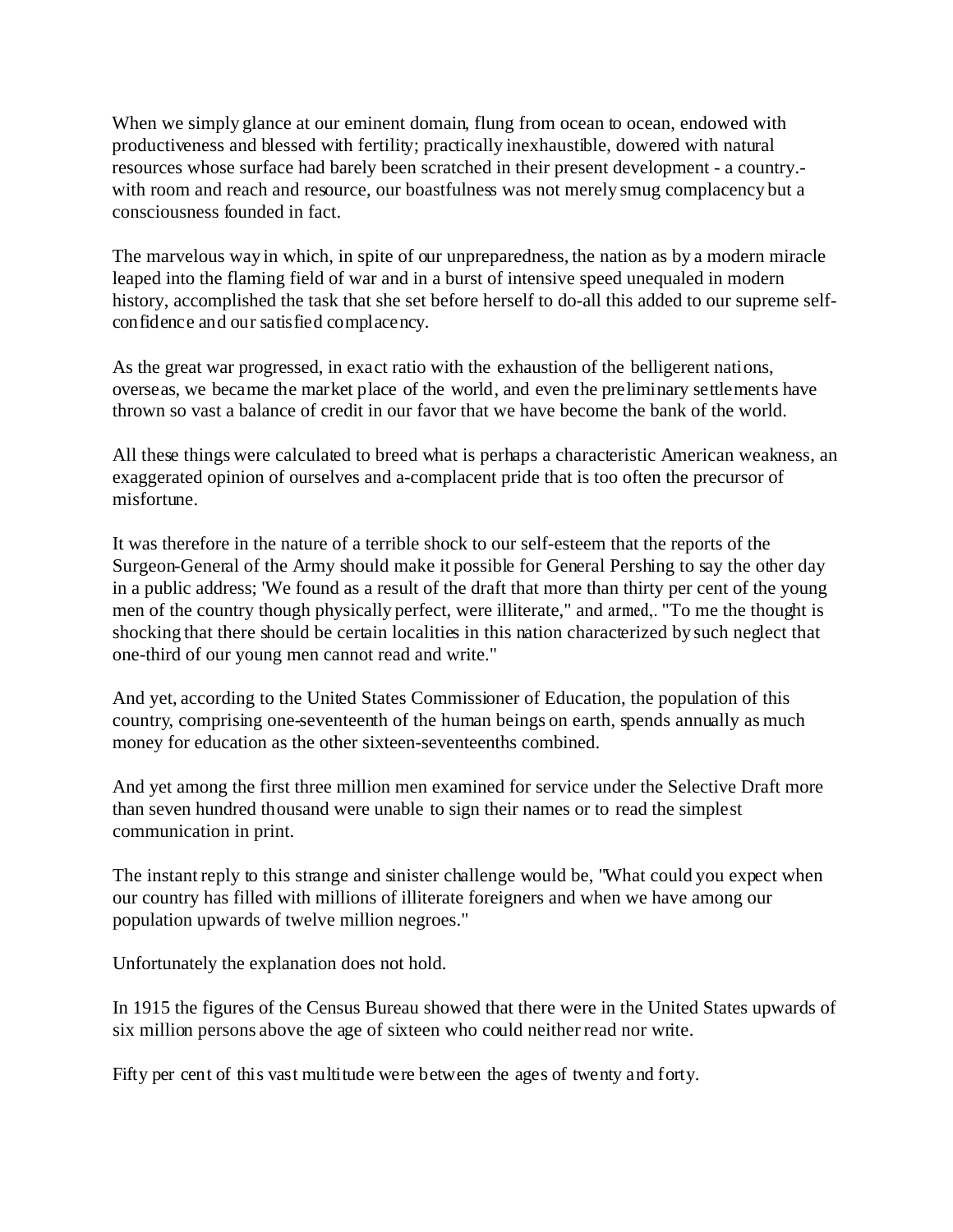When we simply glance at our eminent domain, flung from ocean to ocean, endowed with productiveness and blessed with fertility; practically inexhaustible, dowered with natural resources whose surface had barely been scratched in their present development - a country. with room and reach and resource, our boastfulness was not merely smug complacency but a consciousness founded in fact.

The marvelous way in which, in spite of our unpreparedness, the nation as by a modern miracle leaped into the flaming field of war and in a burst of intensive speed unequaled in modern history, accomplished the task that she set before herself to do-all this added to our supreme selfconfidence and our satisfied complacency.

As the great war progressed, in exact ratio with the exhaustion of the belligerent nations, overseas, we became the market place of the world, and even the preliminary settlements have thrown so vast a balance of credit in our favor that we have become the bank of the world.

All these things were calculated to breed what is perhaps a characteristic American weakness, an exaggerated opinion of ourselves and a-complacent pride that is too often the precursor of misfortune.

It was therefore in the nature of a terrible shock to our self-esteem that the reports of the Surgeon-General of the Army should make it possible for General Pershing to say the other day in a public address; 'We found as a result of the draft that more than thirty per cent of the young men of the country though physically perfect, were illiterate," and armed,. "To me the thought is shocking that there should be certain localities in this nation characterized by such neglect that one-third of our young men cannot read and write."

And yet, according to the United States Commissioner of Education, the population of this country, comprising one-seventeenth of the human beings on earth, spends annually as much money for education as the other sixteen-seventeenths combined.

And yet among the first three million men examined for service under the Selective Draft more than seven hundred thousand were unable to sign their names or to read the simplest communication in print.

The instant reply to this strange and sinister challenge would be, "What could you expect when our country has filled with millions of illiterate foreigners and when we have among our population upwards of twelve million negroes."

Unfortunately the explanation does not hold.

In 1915 the figures of the Census Bureau showed that there were in the United States upwards of six million persons above the age of sixteen who could neither read nor write.

Fifty per cent of this vast multitude were between the ages of twenty and forty.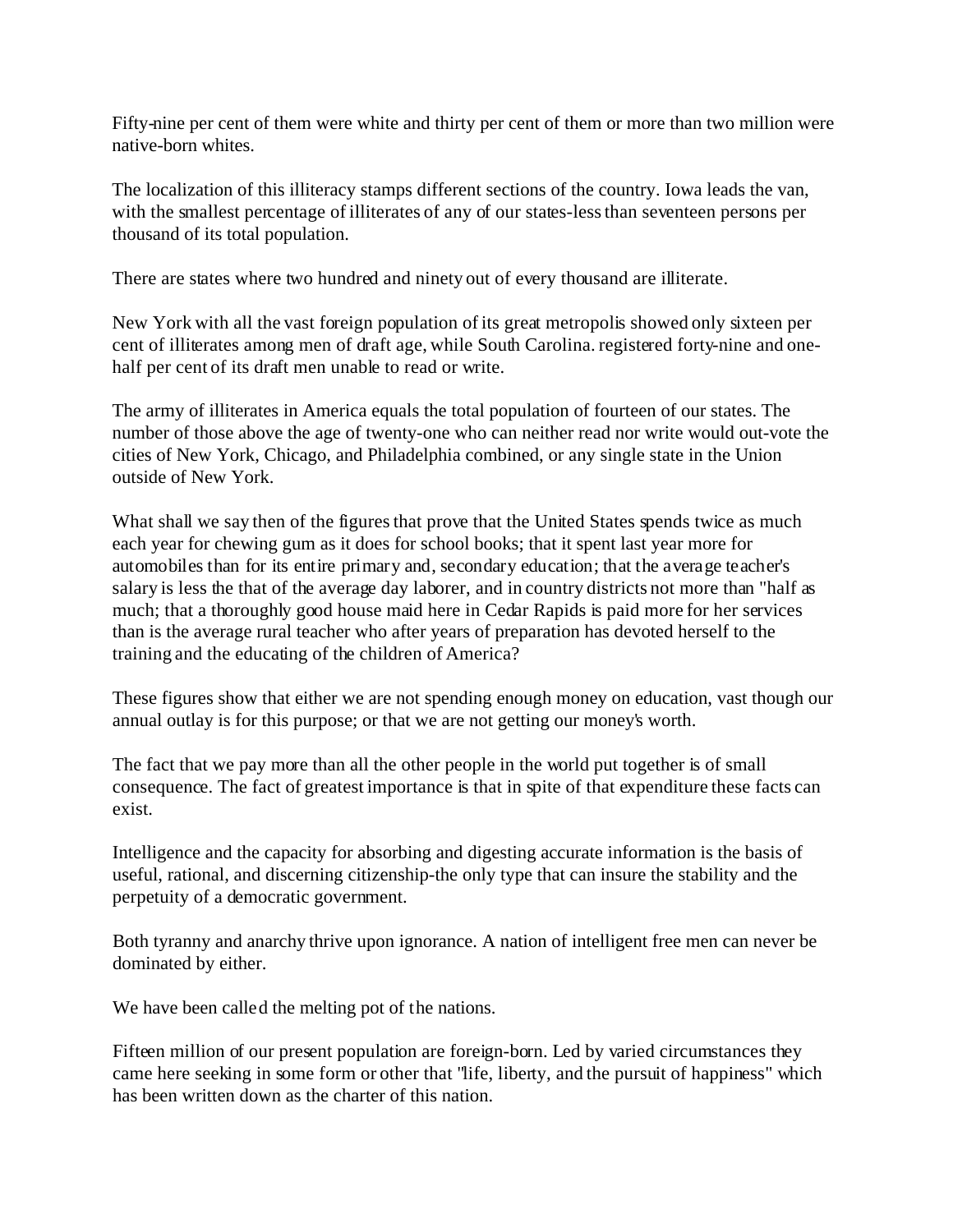Fifty-nine per cent of them were white and thirty per cent of them or more than two million were native-born whites.

The localization of this illiteracy stamps different sections of the country. Iowa leads the van, with the smallest percentage of illiterates of any of our states-less than seventeen persons per thousand of its total population.

There are states where two hundred and ninety out of every thousand are illiterate.

New York with all the vast foreign population of its great metropolis showed only sixteen per cent of illiterates among men of draft age, while South Carolina. registered forty-nine and onehalf per cent of its draft men unable to read or write.

The army of illiterates in America equals the total population of fourteen of our states. The number of those above the age of twenty-one who can neither read nor write would out-vote the cities of New York, Chicago, and Philadelphia combined, or any single state in the Union outside of New York.

What shall we say then of the figures that prove that the United States spends twice as much each year for chewing gum as it does for school books; that it spent last year more for automobiles than for its entire primary and, secondary education; that the average teacher's salary is less the that of the average day laborer, and in country districts not more than "half as much; that a thoroughly good house maid here in Cedar Rapids is paid more for her services than is the average rural teacher who after years of preparation has devoted herself to the training and the educating of the children of America?

These figures show that either we are not spending enough money on education, vast though our annual outlay is for this purpose; or that we are not getting our money's worth.

The fact that we pay more than all the other people in the world put together is of small consequence. The fact of greatest importance is that in spite of that expenditure these facts can exist.

Intelligence and the capacity for absorbing and digesting accurate information is the basis of useful, rational, and discerning citizenship-the only type that can insure the stability and the perpetuity of a democratic government.

Both tyranny and anarchy thrive upon ignorance. A nation of intelligent free men can never be dominated by either.

We have been called the melting pot of the nations.

Fifteen million of our present population are foreign-born. Led by varied circumstances they came here seeking in some form or other that "life, liberty, and the pursuit of happiness" which has been written down as the charter of this nation.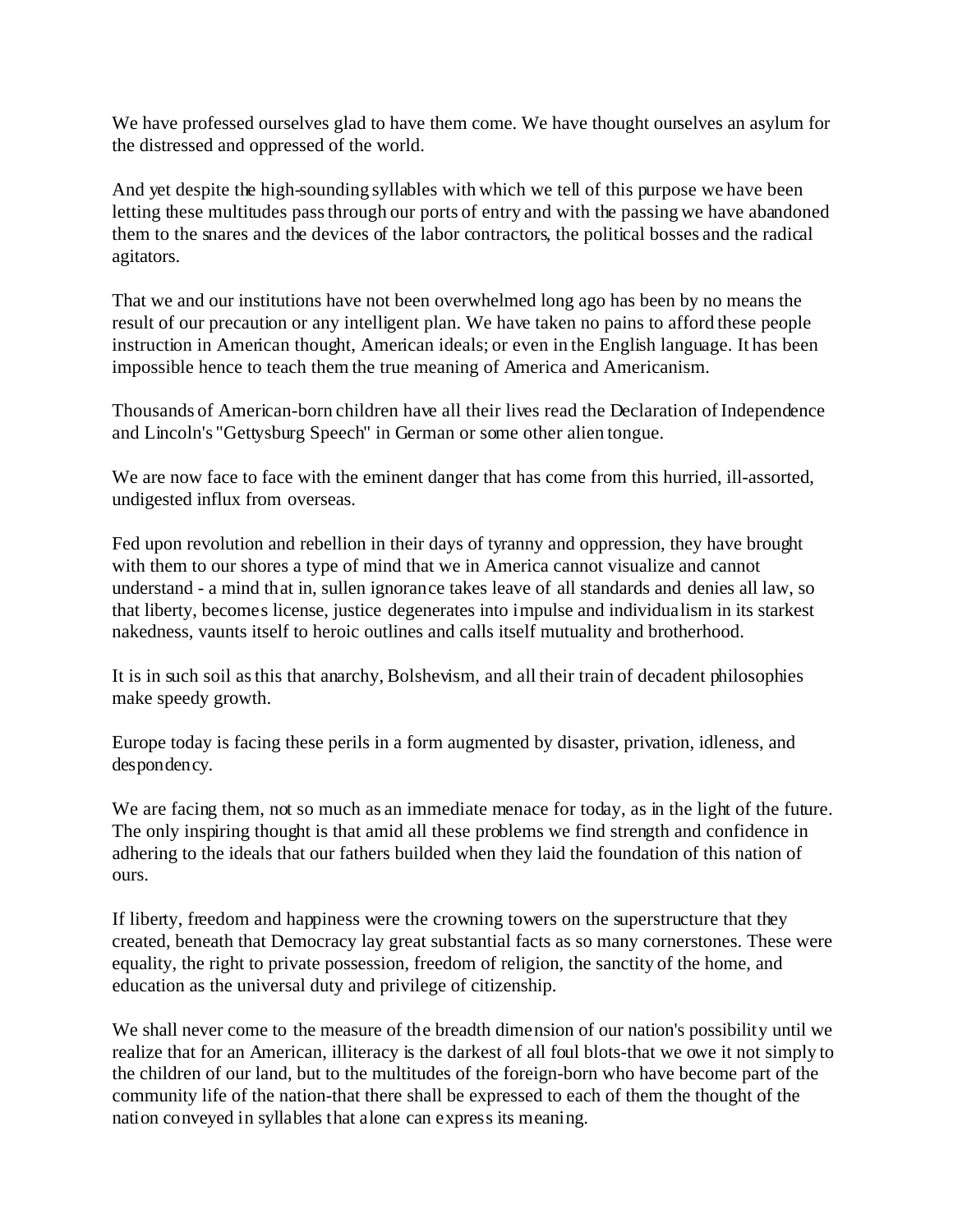We have professed ourselves glad to have them come. We have thought ourselves an asylum for the distressed and oppressed of the world.

And yet despite the high-sounding syllables with which we tell of this purpose we have been letting these multitudes pass through our ports of entry and with the passing we have abandoned them to the snares and the devices of the labor contractors, the political bosses and the radical agitators.

That we and our institutions have not been overwhelmed long ago has been by no means the result of our precaution or any intelligent plan. We have taken no pains to afford these people instruction in American thought, American ideals; or even in the English language. It has been impossible hence to teach them the true meaning of America and Americanism.

Thousands of American-born children have all their lives read the Declaration of Independence and Lincoln's "Gettysburg Speech" in German or some other alien tongue.

We are now face to face with the eminent danger that has come from this hurried, ill-assorted, undigested influx from overseas.

Fed upon revolution and rebellion in their days of tyranny and oppression, they have brought with them to our shores a type of mind that we in America cannot visualize and cannot understand - a mind that in, sullen ignorance takes leave of all standards and denies all law, so that liberty, becomes license, justice degenerates into impulse and individualism in its starkest nakedness, vaunts itself to heroic outlines and calls itself mutuality and brotherhood.

It is in such soil as this that anarchy, Bolshevism, and all their train of decadent philosophies make speedy growth.

Europe today is facing these perils in a form augmented by disaster, privation, idleness, and despondency.

We are facing them, not so much as an immediate menace for today, as in the light of the future. The only inspiring thought is that amid all these problems we find strength and confidence in adhering to the ideals that our fathers builded when they laid the foundation of this nation of ours.

If liberty, freedom and happiness were the crowning towers on the superstructure that they created, beneath that Democracy lay great substantial facts as so many cornerstones. These were equality, the right to private possession, freedom of religion, the sanctity of the home, and education as the universal duty and privilege of citizenship.

We shall never come to the measure of the breadth dimension of our nation's possibility until we realize that for an American, illiteracy is the darkest of all foul blots-that we owe it not simply to the children of our land, but to the multitudes of the foreign-born who have become part of the community life of the nation-that there shall be expressed to each of them the thought of the nation conveyed in syllables that alone can express its meaning.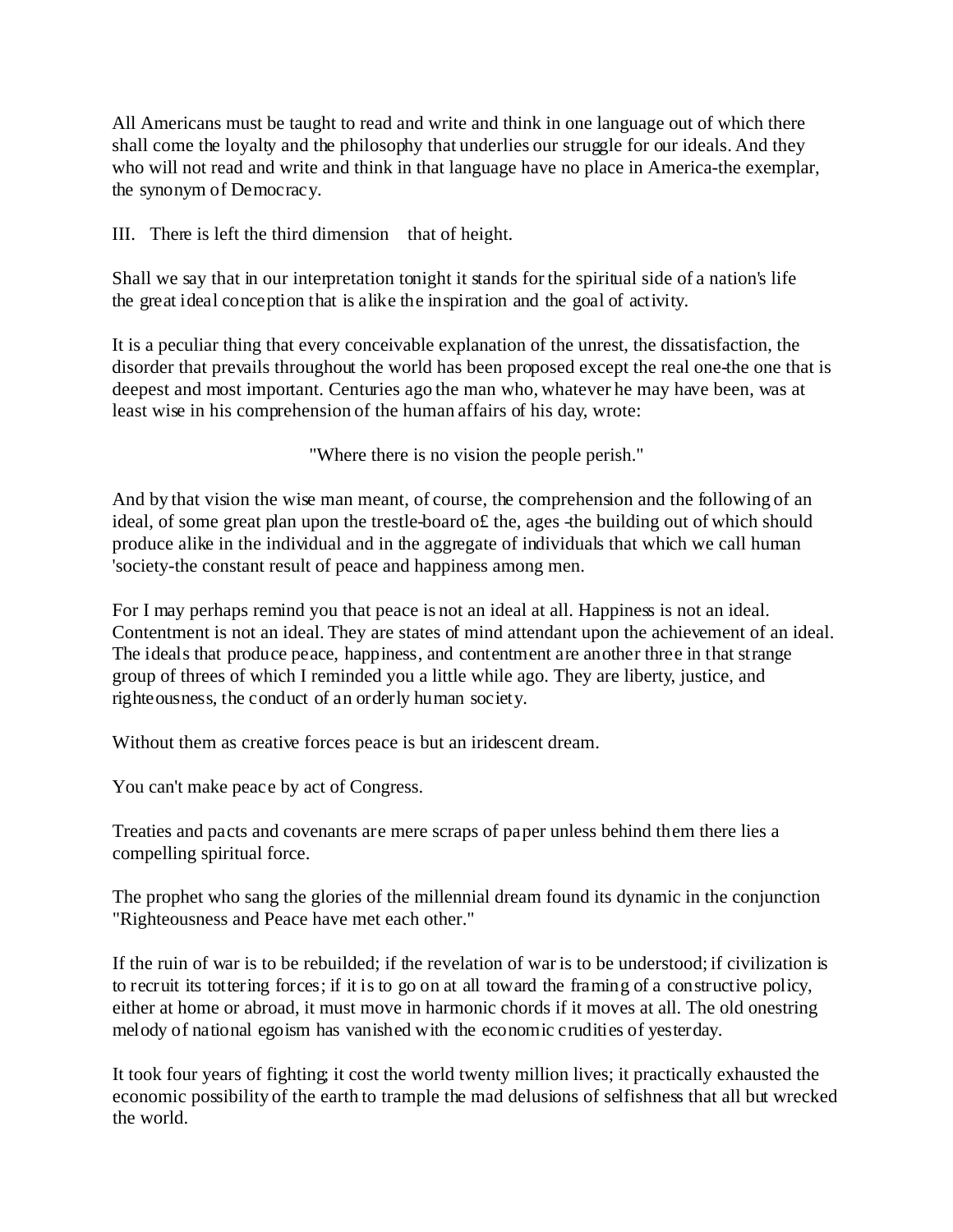All Americans must be taught to read and write and think in one language out of which there shall come the loyalty and the philosophy that underlies our struggle for our ideals. And they who will not read and write and think in that language have no place in America-the exemplar, the synonym of Democracy.

III. There is left the third dimension that of height.

Shall we say that in our interpretation tonight it stands for the spiritual side of a nation's life the great ideal conception that is alike the inspiration and the goal of activity.

It is a peculiar thing that every conceivable explanation of the unrest, the dissatisfaction, the disorder that prevails throughout the world has been proposed except the real one-the one that is deepest and most important. Centuries ago the man who, whatever he may have been, was at least wise in his comprehension of the human affairs of his day, wrote:

"Where there is no vision the people perish."

And by that vision the wise man meant, of course, the comprehension and the following of an ideal, of some great plan upon the trestle-board o£ the, ages -the building out of which should produce alike in the individual and in the aggregate of individuals that which we call human 'society-the constant result of peace and happiness among men.

For I may perhaps remind you that peace is not an ideal at all. Happiness is not an ideal. Contentment is not an ideal. They are states of mind attendant upon the achievement of an ideal. The ideals that produce peace, happiness, and contentment are another three in that strange group of threes of which I reminded you a little while ago. They are liberty, justice, and righteousness, the conduct of an orderly human society.

Without them as creative forces peace is but an iridescent dream.

You can't make peace by act of Congress.

Treaties and pacts and covenants are mere scraps of paper unless behind them there lies a compelling spiritual force.

The prophet who sang the glories of the millennial dream found its dynamic in the conjunction "Righteousness and Peace have met each other."

If the ruin of war is to be rebuilded; if the revelation of war is to be understood; if civilization is to recruit its tottering forces; if it is to go on at all toward the framing of a constructive policy, either at home or abroad, it must move in harmonic chords if it moves at all. The old onestring melody of national egoism has vanished with the economic crudities of yesterday.

It took four years of fighting; it cost the world twenty million lives; it practically exhausted the economic possibility of the earth to trample the mad delusions of selfishness that all but wrecked the world.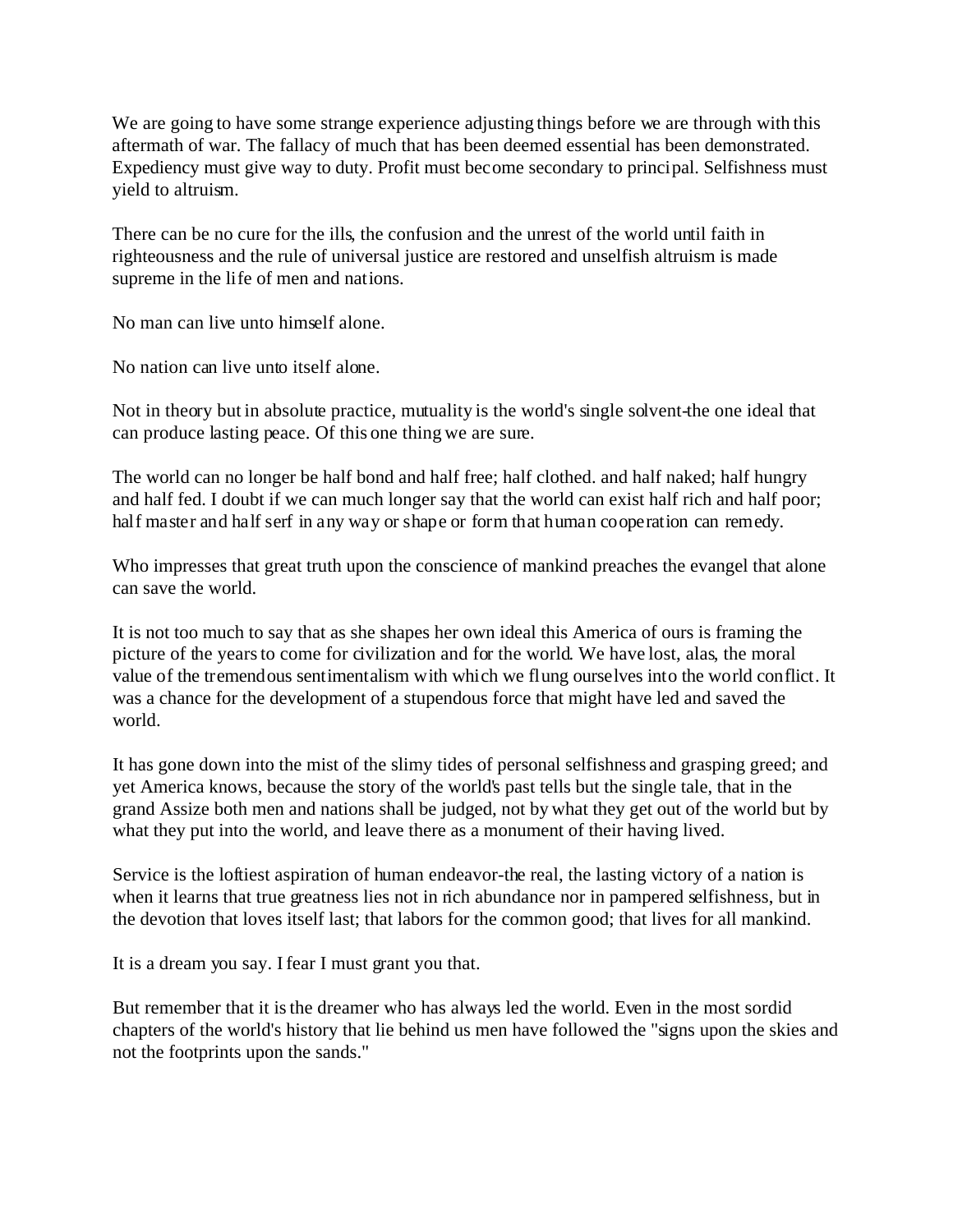We are going to have some strange experience adjusting things before we are through with this aftermath of war. The fallacy of much that has been deemed essential has been demonstrated. Expediency must give way to duty. Profit must become secondary to principal. Selfishness must yield to altruism.

There can be no cure for the ills, the confusion and the unrest of the world until faith in righteousness and the rule of universal justice are restored and unselfish altruism is made supreme in the life of men and nations.

No man can live unto himself alone.

No nation can live unto itself alone.

Not in theory but in absolute practice, mutuality is the world's single solvent-the one ideal that can produce lasting peace. Of this one thing we are sure.

The world can no longer be half bond and half free; half clothed. and half naked; half hungry and half fed. I doubt if we can much longer say that the world can exist half rich and half poor; half master and half serf in any way or shape or form that human cooperation can remedy.

Who impresses that great truth upon the conscience of mankind preaches the evangel that alone can save the world.

It is not too much to say that as she shapes her own ideal this America of ours is framing the picture of the years to come for civilization and for the world. We have lost, alas, the moral value of the tremendous sentimentalism with which we flung ourselves into the world conflict. It was a chance for the development of a stupendous force that might have led and saved the world.

It has gone down into the mist of the slimy tides of personal selfishness and grasping greed; and yet America knows, because the story of the world's past tells but the single tale, that in the grand Assize both men and nations shall be judged, not by what they get out of the world but by what they put into the world, and leave there as a monument of their having lived.

Service is the loftiest aspiration of human endeavor-the real, the lasting victory of a nation is when it learns that true greatness lies not in rich abundance nor in pampered selfishness, but in the devotion that loves itself last; that labors for the common good; that lives for all mankind.

It is a dream you say. I fear I must grant you that.

But remember that it is the dreamer who has always led the world. Even in the most sordid chapters of the world's history that lie behind us men have followed the "signs upon the skies and not the footprints upon the sands."